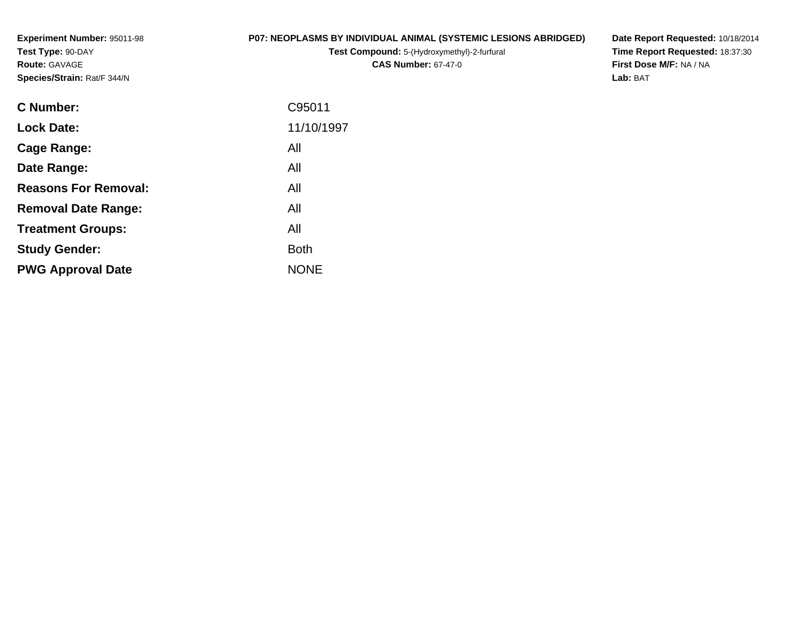**Experiment Number:** 95011-98**Test Type:** 90-DAY**Route:** GAVAGE**Species/Strain:** Rat/F 344/N

### **P07: NEOPLASMS BY INDIVIDUAL ANIMAL (SYSTEMIC LESIONS ABRIDGED)**

**Test Compound:** 5-(Hydroxymethyl)-2-furfural **CAS Number:** 67-47-0

**Date Report Requested:** 10/18/2014 **Time Report Requested:** 18:37:30**First Dose M/F:** NA / NA**Lab:** BAT

| <b>C</b> Number:            | C95011      |
|-----------------------------|-------------|
| <b>Lock Date:</b>           | 11/10/1997  |
| Cage Range:                 | All         |
| Date Range:                 | All         |
| <b>Reasons For Removal:</b> | All         |
| <b>Removal Date Range:</b>  | All         |
| <b>Treatment Groups:</b>    | All         |
| <b>Study Gender:</b>        | <b>Both</b> |
| <b>PWG Approval Date</b>    | <b>NONE</b> |
|                             |             |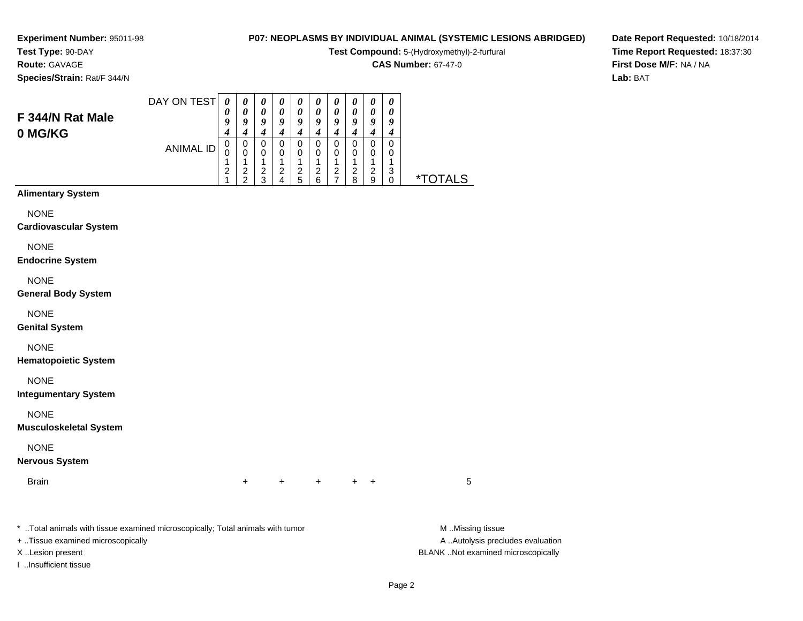#### **Test Type:** 90-DAY**Route:** GAVAGE

**Species/Strain:** Rat/F 344/N

#### **P07: NEOPLASMS BY INDIVIDUAL ANIMAL (SYSTEMIC LESIONS ABRIDGED)**

**Test Compound:** 5-(Hydroxymethyl)-2-furfural

**CAS Number:** 67-47-0

**Date Report Requested:** 10/18/2014**Time Report Requested:** 18:37:30**First Dose M/F:** NA / NA**Lab:** BAT

| F 344/N Rat Male<br>0 MG/KG                  | DAY ON TEST<br><b>ANIMAL ID</b> | $\boldsymbol{\theta}$<br>0<br>9<br>4<br>$\boldsymbol{0}$<br>0<br>1<br>$\overline{\mathbf{c}}$<br>1 | $\pmb{\theta}$<br>$\boldsymbol{\theta}$<br>$\boldsymbol{9}$<br>$\boldsymbol{4}$<br>$\pmb{0}$<br>$\mathbf 0$<br>1<br>$\frac{2}{2}$ | $\pmb{\theta}$<br>$\pmb{\theta}$<br>9<br>$\boldsymbol{4}$<br>$\mathbf 0$<br>$\mathbf 0$<br>1<br>$\frac{2}{3}$ | $\boldsymbol{\theta}$<br>$\boldsymbol{\theta}$<br>9<br>$\boldsymbol{4}$<br>$\mathsf 0$<br>$\mathbf 0$<br>1<br>$\boldsymbol{2}$<br>4 | $\pmb{\theta}$<br>$\pmb{\theta}$<br>9<br>$\boldsymbol{4}$<br>$\pmb{0}$<br>0<br>1<br>$\frac{2}{5}$ | 0<br>$\pmb{\theta}$<br>$\boldsymbol{9}$<br>$\boldsymbol{4}$<br>$\pmb{0}$<br>$\mathbf 0$<br>1<br>$\overline{c}$<br>6 | 0<br>0<br>9<br>$\boldsymbol{4}$<br>$\mathsf 0$<br>0<br>1<br>$\frac{2}{7}$ | $\boldsymbol{\theta}$<br>$\pmb{\theta}$<br>9<br>$\boldsymbol{4}$<br>$\pmb{0}$<br>$\mathbf 0$<br>1<br>$\boldsymbol{2}$<br>8 | $\pmb{\theta}$<br>$\pmb{\theta}$<br>$\pmb{9}$<br>$\boldsymbol{4}$<br>$\mathbf 0$<br>$\pmb{0}$<br>$\mathbf{1}$<br>$\frac{2}{9}$ | $\pmb{\theta}$<br>0<br>$\boldsymbol{9}$<br>$\boldsymbol{4}$<br>$\overline{\text{o}}$<br>$\pmb{0}$<br>$\mathbf{1}$<br>$\sqrt{3}$<br>$\mathbf 0$ | <i><b>*TOTALS</b></i> |
|----------------------------------------------|---------------------------------|----------------------------------------------------------------------------------------------------|-----------------------------------------------------------------------------------------------------------------------------------|---------------------------------------------------------------------------------------------------------------|-------------------------------------------------------------------------------------------------------------------------------------|---------------------------------------------------------------------------------------------------|---------------------------------------------------------------------------------------------------------------------|---------------------------------------------------------------------------|----------------------------------------------------------------------------------------------------------------------------|--------------------------------------------------------------------------------------------------------------------------------|------------------------------------------------------------------------------------------------------------------------------------------------|-----------------------|
| <b>Alimentary System</b>                     |                                 |                                                                                                    |                                                                                                                                   |                                                                                                               |                                                                                                                                     |                                                                                                   |                                                                                                                     |                                                                           |                                                                                                                            |                                                                                                                                |                                                                                                                                                |                       |
| <b>NONE</b><br><b>Cardiovascular System</b>  |                                 |                                                                                                    |                                                                                                                                   |                                                                                                               |                                                                                                                                     |                                                                                                   |                                                                                                                     |                                                                           |                                                                                                                            |                                                                                                                                |                                                                                                                                                |                       |
| <b>NONE</b><br><b>Endocrine System</b>       |                                 |                                                                                                    |                                                                                                                                   |                                                                                                               |                                                                                                                                     |                                                                                                   |                                                                                                                     |                                                                           |                                                                                                                            |                                                                                                                                |                                                                                                                                                |                       |
| <b>NONE</b><br><b>General Body System</b>    |                                 |                                                                                                    |                                                                                                                                   |                                                                                                               |                                                                                                                                     |                                                                                                   |                                                                                                                     |                                                                           |                                                                                                                            |                                                                                                                                |                                                                                                                                                |                       |
| <b>NONE</b><br><b>Genital System</b>         |                                 |                                                                                                    |                                                                                                                                   |                                                                                                               |                                                                                                                                     |                                                                                                   |                                                                                                                     |                                                                           |                                                                                                                            |                                                                                                                                |                                                                                                                                                |                       |
| <b>NONE</b><br><b>Hematopoietic System</b>   |                                 |                                                                                                    |                                                                                                                                   |                                                                                                               |                                                                                                                                     |                                                                                                   |                                                                                                                     |                                                                           |                                                                                                                            |                                                                                                                                |                                                                                                                                                |                       |
| <b>NONE</b><br><b>Integumentary System</b>   |                                 |                                                                                                    |                                                                                                                                   |                                                                                                               |                                                                                                                                     |                                                                                                   |                                                                                                                     |                                                                           |                                                                                                                            |                                                                                                                                |                                                                                                                                                |                       |
| <b>NONE</b><br><b>Musculoskeletal System</b> |                                 |                                                                                                    |                                                                                                                                   |                                                                                                               |                                                                                                                                     |                                                                                                   |                                                                                                                     |                                                                           |                                                                                                                            |                                                                                                                                |                                                                                                                                                |                       |
| <b>NONE</b><br><b>Nervous System</b>         |                                 |                                                                                                    |                                                                                                                                   |                                                                                                               |                                                                                                                                     |                                                                                                   |                                                                                                                     |                                                                           |                                                                                                                            |                                                                                                                                |                                                                                                                                                |                       |
| <b>Brain</b>                                 |                                 |                                                                                                    | $\ddot{}$                                                                                                                         |                                                                                                               | $^+$                                                                                                                                |                                                                                                   | $\ddot{}$                                                                                                           |                                                                           | $+$                                                                                                                        | $\ddot{}$                                                                                                                      |                                                                                                                                                | 5                     |
|                                              |                                 |                                                                                                    |                                                                                                                                   |                                                                                                               |                                                                                                                                     |                                                                                                   |                                                                                                                     |                                                                           |                                                                                                                            |                                                                                                                                |                                                                                                                                                |                       |

\* ..Total animals with tissue examined microscopically; Total animals with tumor **M** . Missing tissue M ..Missing tissue

+ ..Tissue examined microscopically

I ..Insufficient tissue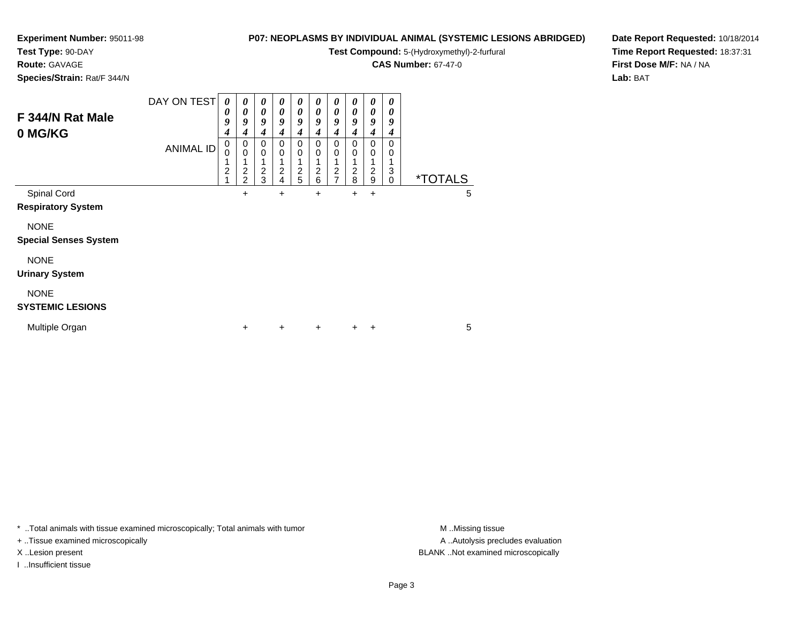# **Test Type:** 90-DAY

**Route:** GAVAGE

**Species/Strain:** Rat/F 344/N

# **P07: NEOPLASMS BY INDIVIDUAL ANIMAL (SYSTEMIC LESIONS ABRIDGED)**

**Test Compound:** 5-(Hydroxymethyl)-2-furfural

**CAS Number:** 67-47-0

**Date Report Requested:** 10/18/2014**Time Report Requested:** 18:37:31**First Dose M/F:** NA / NA**Lab:** BAT

| F 344/N Rat Male<br>0 MG/KG                 | DAY ON TEST<br><b>ANIMAL ID</b> | $\boldsymbol{\theta}$<br>0<br>9<br>4<br>0<br>0<br>1<br>$\overline{c}$ | 0<br>0<br>9<br>4<br>0<br>$\mathbf 0$<br>1<br>$\overline{c}$<br>$\overline{2}$ | $\boldsymbol{\theta}$<br>0<br>9<br>4<br>$\mathbf 0$<br>$\mathbf 0$<br>$\frac{2}{3}$ | 0<br>$\boldsymbol{\theta}$<br>9<br>4<br>$\mathbf 0$<br>$\mathbf 0$<br>1<br>$\frac{2}{4}$ | 0<br>0<br>9<br>4<br>0<br>$\mathbf 0$<br>$\overline{c}$<br>5 | 0<br>0<br>9<br>4<br>0<br>0<br>2<br>6 | 0<br>0<br>9<br>4<br>0<br>0<br>1<br>$\frac{2}{7}$ | 0<br>0<br>9<br>4<br>0<br>0<br>1<br>$\frac{2}{8}$ | 0<br>$\theta$<br>9<br>4<br>0<br>0<br>2<br>9 | 0<br>0<br>9<br>4<br>0<br>0<br>3<br>$\mathbf 0$ | <i><b>*TOTALS</b></i> |   |
|---------------------------------------------|---------------------------------|-----------------------------------------------------------------------|-------------------------------------------------------------------------------|-------------------------------------------------------------------------------------|------------------------------------------------------------------------------------------|-------------------------------------------------------------|--------------------------------------|--------------------------------------------------|--------------------------------------------------|---------------------------------------------|------------------------------------------------|-----------------------|---|
| Spinal Cord<br><b>Respiratory System</b>    |                                 |                                                                       | $\ddot{}$                                                                     |                                                                                     | +                                                                                        |                                                             | +                                    |                                                  | $\pm$                                            | ÷                                           |                                                |                       | 5 |
| <b>NONE</b><br><b>Special Senses System</b> |                                 |                                                                       |                                                                               |                                                                                     |                                                                                          |                                                             |                                      |                                                  |                                                  |                                             |                                                |                       |   |
| <b>NONE</b><br><b>Urinary System</b>        |                                 |                                                                       |                                                                               |                                                                                     |                                                                                          |                                                             |                                      |                                                  |                                                  |                                             |                                                |                       |   |
| <b>NONE</b><br><b>SYSTEMIC LESIONS</b>      |                                 |                                                                       |                                                                               |                                                                                     |                                                                                          |                                                             |                                      |                                                  |                                                  |                                             |                                                |                       |   |
| Multiple Organ                              |                                 |                                                                       | $\ddot{}$                                                                     |                                                                                     | $\ddot{}$                                                                                |                                                             | $\ddot{}$                            |                                                  | $\pm$                                            | ÷                                           |                                                |                       | 5 |

\* ..Total animals with tissue examined microscopically; Total animals with tumor **M** . Missing tissue M ..Missing tissue

+ ..Tissue examined microscopically

I ..Insufficient tissue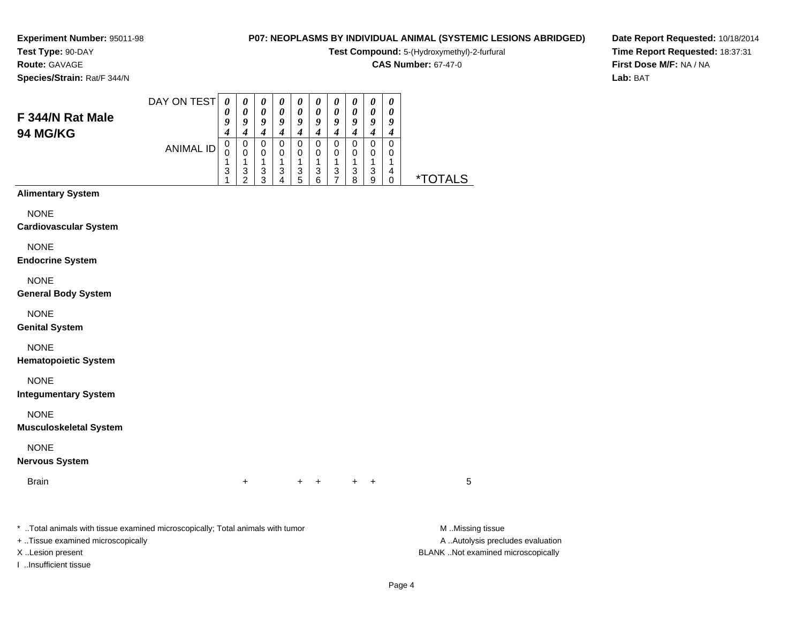# **Test Type:** 90-DAY

**Route:** GAVAGE

**Species/Strain:** Rat/F 344/N

# **P07: NEOPLASMS BY INDIVIDUAL ANIMAL (SYSTEMIC LESIONS ABRIDGED)**

**Test Compound:** 5-(Hydroxymethyl)-2-furfural

**CAS Number:** 67-47-0

**Date Report Requested:** 10/18/2014**Time Report Requested:** 18:37:31**First Dose M/F:** NA / NA**Lab:** BAT

| F 344/N Rat Male<br>94 MG/KG                                                   | DAY ON TEST      | $\boldsymbol{\theta}$<br>0<br>9<br>4 | 0<br>$\boldsymbol{\theta}$<br>$\boldsymbol{g}$<br>$\boldsymbol{4}$ | 0<br>0<br>9<br>$\boldsymbol{4}$                 | 0<br>0<br>9<br>$\boldsymbol{4}$      | 0<br>0<br>$\boldsymbol{9}$<br>$\boldsymbol{4}$ | 0<br>0<br>$\boldsymbol{g}$<br>$\boldsymbol{4}$  | 0<br>$\boldsymbol{\theta}$<br>$\boldsymbol{g}$<br>$\boldsymbol{4}$ | $\boldsymbol{\theta}$<br>$\boldsymbol{\theta}$<br>9<br>$\boldsymbol{4}$ | $\boldsymbol{\theta}$<br>$\boldsymbol{\theta}$<br>$\boldsymbol{g}$<br>$\boldsymbol{4}$ | 0<br>$\boldsymbol{\theta}$<br>9<br>$\boldsymbol{4}$           |                       |
|--------------------------------------------------------------------------------|------------------|--------------------------------------|--------------------------------------------------------------------|-------------------------------------------------|--------------------------------------|------------------------------------------------|-------------------------------------------------|--------------------------------------------------------------------|-------------------------------------------------------------------------|----------------------------------------------------------------------------------------|---------------------------------------------------------------|-----------------------|
|                                                                                | <b>ANIMAL ID</b> | 0<br>0<br>1<br>3<br>1                | $\pmb{0}$<br>$\pmb{0}$<br>$\mathbf{1}$<br>$\frac{3}{2}$            | $\pmb{0}$<br>0<br>$\mathbf{1}$<br>$\frac{3}{3}$ | $\pmb{0}$<br>0<br>1<br>$\frac{3}{4}$ | $\pmb{0}$<br>0<br>1<br>$\frac{3}{5}$           | $\pmb{0}$<br>0<br>$\mathbf{1}$<br>$\frac{3}{6}$ | $\pmb{0}$<br>0<br>$\mathbf{1}$<br>$\frac{3}{7}$                    | $\pmb{0}$<br>0<br>$\mathbf{1}$<br>$\begin{array}{c} 3 \\ 8 \end{array}$ | $\pmb{0}$<br>0<br>$\overline{1}$<br>$\frac{3}{9}$                                      | $\mathbf 0$<br>0<br>1<br>$\overline{\mathbf{4}}$<br>$\pmb{0}$ | <i><b>*TOTALS</b></i> |
| <b>Alimentary System</b>                                                       |                  |                                      |                                                                    |                                                 |                                      |                                                |                                                 |                                                                    |                                                                         |                                                                                        |                                                               |                       |
| <b>NONE</b><br><b>Cardiovascular System</b>                                    |                  |                                      |                                                                    |                                                 |                                      |                                                |                                                 |                                                                    |                                                                         |                                                                                        |                                                               |                       |
| <b>NONE</b><br><b>Endocrine System</b>                                         |                  |                                      |                                                                    |                                                 |                                      |                                                |                                                 |                                                                    |                                                                         |                                                                                        |                                                               |                       |
| <b>NONE</b><br><b>General Body System</b>                                      |                  |                                      |                                                                    |                                                 |                                      |                                                |                                                 |                                                                    |                                                                         |                                                                                        |                                                               |                       |
| <b>NONE</b><br><b>Genital System</b>                                           |                  |                                      |                                                                    |                                                 |                                      |                                                |                                                 |                                                                    |                                                                         |                                                                                        |                                                               |                       |
| <b>NONE</b><br><b>Hematopoietic System</b>                                     |                  |                                      |                                                                    |                                                 |                                      |                                                |                                                 |                                                                    |                                                                         |                                                                                        |                                                               |                       |
| <b>NONE</b><br><b>Integumentary System</b>                                     |                  |                                      |                                                                    |                                                 |                                      |                                                |                                                 |                                                                    |                                                                         |                                                                                        |                                                               |                       |
| <b>NONE</b><br><b>Musculoskeletal System</b>                                   |                  |                                      |                                                                    |                                                 |                                      |                                                |                                                 |                                                                    |                                                                         |                                                                                        |                                                               |                       |
| <b>NONE</b><br><b>Nervous System</b>                                           |                  |                                      |                                                                    |                                                 |                                      |                                                |                                                 |                                                                    |                                                                         |                                                                                        |                                                               |                       |
| <b>Brain</b>                                                                   |                  |                                      | +                                                                  |                                                 |                                      | $\ddot{}$                                      | +                                               |                                                                    | $\pm$                                                                   | $\ddot{}$                                                                              |                                                               | 5                     |
| * Total animals with tissue examined microscopically; Total animals with tumor |                  |                                      |                                                                    |                                                 |                                      |                                                |                                                 |                                                                    |                                                                         |                                                                                        |                                                               | M Missing tissue      |

+ ..Tissue examined microscopically

I ..Insufficient tissue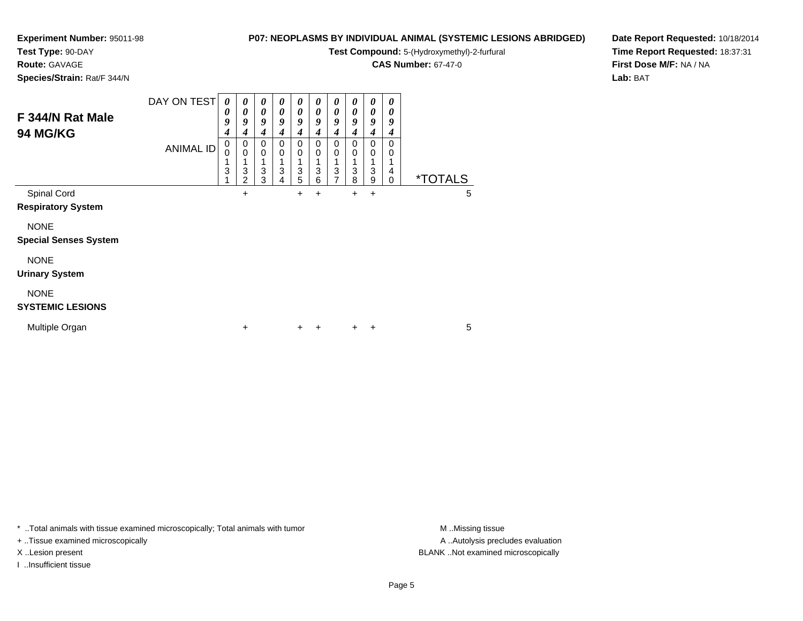**Test Type:** 90-DAY

**Route:** GAVAGE

**Species/Strain:** Rat/F 344/N

# **P07: NEOPLASMS BY INDIVIDUAL ANIMAL (SYSTEMIC LESIONS ABRIDGED)**

**Test Compound:** 5-(Hydroxymethyl)-2-furfural

**CAS Number:** 67-47-0

**Date Report Requested:** 10/18/2014**Time Report Requested:** 18:37:31**First Dose M/F:** NA / NA**Lab:** BAT

| F 344/N Rat Male<br><b>94 MG/KG</b>         | DAY ON TEST<br><b>ANIMAL ID</b> | 0<br>0<br>9<br>4<br>0<br>$\Omega$ | 0<br>0<br>9<br>$\boldsymbol{4}$<br>$\mathbf 0$<br>$\mathbf 0$<br>1 | 0<br>0<br>9<br>4<br>$\Omega$<br>0 | $\boldsymbol{\theta}$<br>0<br>9<br>4<br>0<br>0<br>1 | 0<br>0<br>9<br>4<br>0<br>0 | 0<br>0<br>9<br>4<br>0<br>0 | 0<br>$\boldsymbol{\theta}$<br>9<br>4<br>$\Omega$<br>0 | 0<br>0<br>9<br>4<br>0<br>0 | 0<br>0<br>9<br>4<br>$\Omega$<br>0 | 0<br>0<br>9<br>4<br>$\Omega$<br>0 |                       |   |
|---------------------------------------------|---------------------------------|-----------------------------------|--------------------------------------------------------------------|-----------------------------------|-----------------------------------------------------|----------------------------|----------------------------|-------------------------------------------------------|----------------------------|-----------------------------------|-----------------------------------|-----------------------|---|
|                                             |                                 | 3                                 | 3<br>$\overline{2}$                                                | 3<br>3                            | 3<br>4                                              | 3<br>5                     | 3<br>6                     | 3<br>7                                                | 3<br>8                     | 3<br>9                            | 4<br>$\Omega$                     | <i><b>*TOTALS</b></i> |   |
| Spinal Cord<br><b>Respiratory System</b>    |                                 |                                   | +                                                                  |                                   |                                                     | $\pm$                      | +                          |                                                       | $\ddot{}$                  | +                                 |                                   |                       | 5 |
| <b>NONE</b><br><b>Special Senses System</b> |                                 |                                   |                                                                    |                                   |                                                     |                            |                            |                                                       |                            |                                   |                                   |                       |   |
| <b>NONE</b><br><b>Urinary System</b>        |                                 |                                   |                                                                    |                                   |                                                     |                            |                            |                                                       |                            |                                   |                                   |                       |   |
| <b>NONE</b><br><b>SYSTEMIC LESIONS</b>      |                                 |                                   |                                                                    |                                   |                                                     |                            |                            |                                                       |                            |                                   |                                   |                       |   |
| Multiple Organ                              |                                 |                                   | +                                                                  |                                   |                                                     | $\pm$                      | ÷                          |                                                       | $+$                        | $\ddot{}$                         |                                   |                       | 5 |

\* ..Total animals with tissue examined microscopically; Total animals with tumor **M** . Missing tissue M ..Missing tissue

+ ..Tissue examined microscopically

I ..Insufficient tissue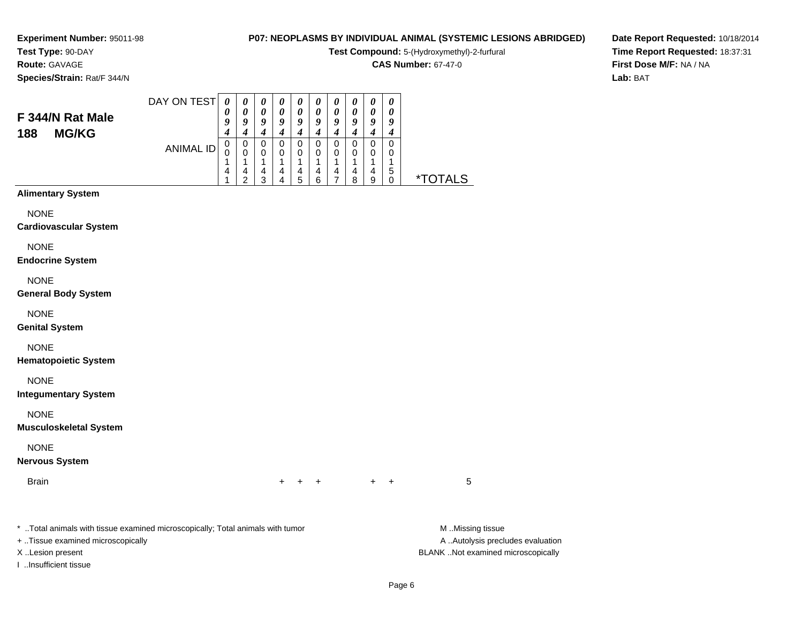#### **Test Type:** 90-DAY**Route:** GAVAGE

**Species/Strain:** Rat/F 344/N

### **P07: NEOPLASMS BY INDIVIDUAL ANIMAL (SYSTEMIC LESIONS ABRIDGED)**

**Test Compound:** 5-(Hydroxymethyl)-2-furfural

**CAS Number:** 67-47-0

**Date Report Requested:** 10/18/2014**Time Report Requested:** 18:37:31**First Dose M/F:** NA / NA**Lab:** BAT

#### DAY ON TEST**F 344/N Rat Male**ANIMAL ID*0 0 9 4* 0 0 1 4 1*0 0 9 4* 0 0 1 4 2*0 0 9 4* 0 0 1 4 3*0 0 9 4* 0 0 1 4 4*0 0 9 4* 0 0 1 4 5*0 0 9 4* 0 0 1 4 6*0 0 9 4* 0 0 1 4 7*0 0 9 4* 0 0 1 4 8*0 0 9 4* 0 0 1 4 9*0 0 9 4* 0 0 1 5 $\check{\mathrm{o}}$ 0 \*TOTALS

#### **Alimentary System**

**188 MG/KG**

**NONE** 

#### **Cardiovascular System**

NONE

#### **Endocrine System**

NONE

#### **General Body System**

NONE

#### **Genital System**

NONE

#### **Hematopoietic System**

NONE

#### **Integumentary System**

NONE

#### **Musculoskeletal System**

NONE

#### **Nervous System**

**Brain** 

n  $+$ <sup>+</sup> <sup>+</sup> <sup>+</sup> <sup>+</sup> <sup>5</sup>

\* ..Total animals with tissue examined microscopically; Total animals with tumor **M** ..Missing tissue M ..Missing tissue

+ ..Tissue examined microscopically

I ..Insufficient tissue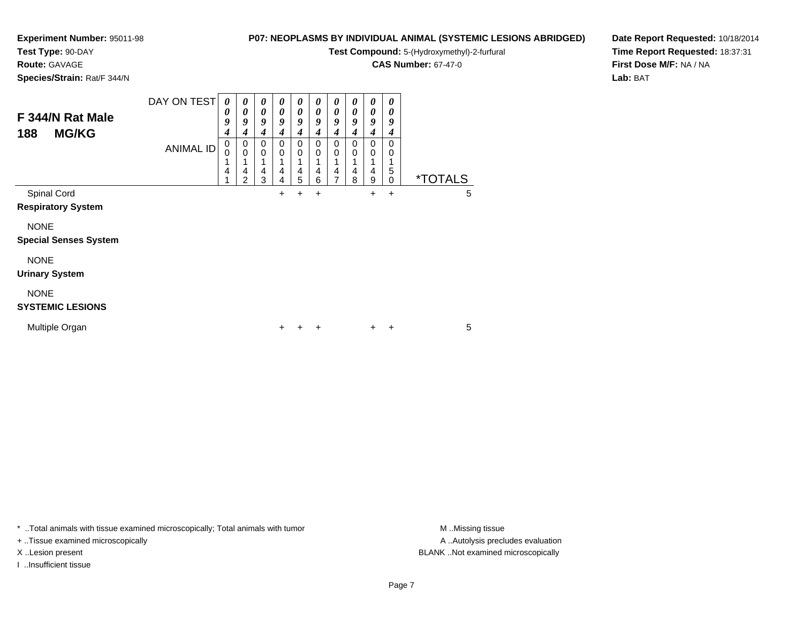**Test Type:** 90-DAY

**Route:** GAVAGE

**Species/Strain:** Rat/F 344/N

# **P07: NEOPLASMS BY INDIVIDUAL ANIMAL (SYSTEMIC LESIONS ABRIDGED)**

**Test Compound:** 5-(Hydroxymethyl)-2-furfural

**CAS Number:** 67-47-0

**Date Report Requested:** 10/18/2014**Time Report Requested:** 18:37:31**First Dose M/F:** NA / NA**Lab:** BAT

| F 344/N Rat Male<br><b>MG/KG</b><br>188     | DAY ON TEST<br><b>ANIMAL ID</b> | 0<br>0<br>9<br>4<br>0<br>0<br>4 | 0<br>0<br>9<br>4<br>0<br>$\mathbf 0$<br>4<br>$\overline{2}$ | 0<br>0<br>9<br>4<br>0<br>0<br>4<br>3 | $\boldsymbol{\theta}$<br>$\boldsymbol{\theta}$<br>9<br>4<br>$\mathbf 0$<br>$\mathbf 0$<br>1<br>$\overline{\mathbf{4}}$<br>4 | 0<br>0<br>9<br>4<br>0<br>0<br>4<br>5 | 0<br>0<br>9<br>4<br>0<br>0<br>4<br>6 | 0<br>0<br>9<br>4<br>0<br>0<br>4<br>7 | 0<br>0<br>9<br>4<br>0<br>0<br>4<br>8 | 0<br>0<br>9<br>4<br>0<br>0<br>4<br>9 | $\boldsymbol{\theta}$<br>0<br>9<br>4<br>0<br>0<br>5<br>0 | <i><b>*TOTALS</b></i> |   |
|---------------------------------------------|---------------------------------|---------------------------------|-------------------------------------------------------------|--------------------------------------|-----------------------------------------------------------------------------------------------------------------------------|--------------------------------------|--------------------------------------|--------------------------------------|--------------------------------------|--------------------------------------|----------------------------------------------------------|-----------------------|---|
| Spinal Cord<br><b>Respiratory System</b>    |                                 |                                 |                                                             |                                      | +                                                                                                                           | $\pm$                                | $\ddot{}$                            |                                      |                                      | +                                    | $\ddot{}$                                                |                       | 5 |
| <b>NONE</b><br><b>Special Senses System</b> |                                 |                                 |                                                             |                                      |                                                                                                                             |                                      |                                      |                                      |                                      |                                      |                                                          |                       |   |
| <b>NONE</b><br><b>Urinary System</b>        |                                 |                                 |                                                             |                                      |                                                                                                                             |                                      |                                      |                                      |                                      |                                      |                                                          |                       |   |
| <b>NONE</b><br><b>SYSTEMIC LESIONS</b>      |                                 |                                 |                                                             |                                      |                                                                                                                             |                                      |                                      |                                      |                                      |                                      |                                                          |                       |   |
| Multiple Organ                              |                                 |                                 |                                                             |                                      | $\pm$                                                                                                                       |                                      | +                                    |                                      |                                      | $\pm$                                | $\ddot{}$                                                |                       | 5 |

\* ..Total animals with tissue examined microscopically; Total animals with tumor **M** . Missing tissue M ..Missing tissue

+ ..Tissue examined microscopically

I ..Insufficient tissue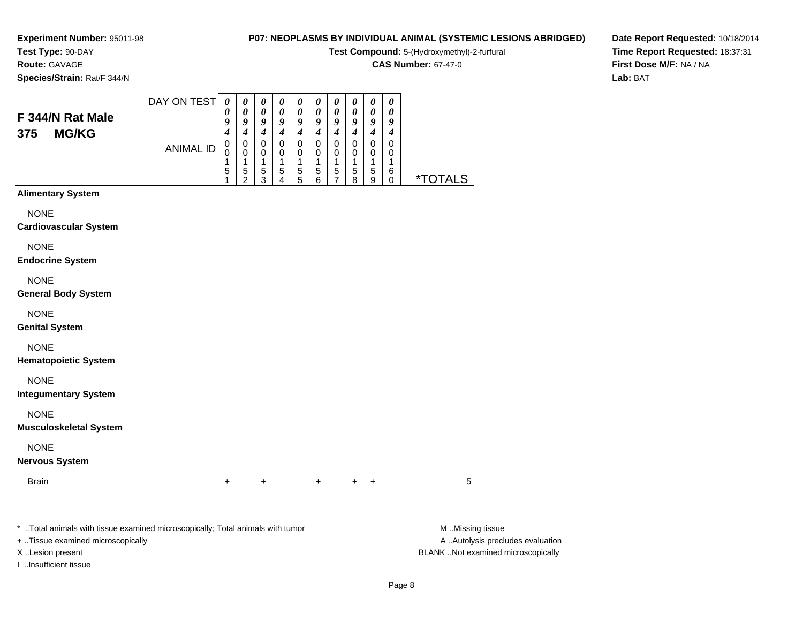#### **Test Type:** 90-DAY**Route:** GAVAGE

**Species/Strain:** Rat/F 344/N

### **P07: NEOPLASMS BY INDIVIDUAL ANIMAL (SYSTEMIC LESIONS ABRIDGED)**

**Test Compound:** 5-(Hydroxymethyl)-2-furfural

**CAS Number:** 67-47-0

**Date Report Requested:** 10/18/2014**Time Report Requested:** 18:37:31**First Dose M/F:** NA / NA**Lab:** BAT

| F 344/N Rat Male<br><b>MG/KG</b><br>375 | DAY ON TEST | 0<br>υ<br>ч | $\boldsymbol{\theta}$<br>a | $\boldsymbol{\theta}$<br>a | u           | $\boldsymbol{\theta}$<br>O | a      | U<br>Q | U<br>o | $\boldsymbol{\theta}$<br>0<br>9 | U<br>U<br>9 |    |
|-----------------------------------------|-------------|-------------|----------------------------|----------------------------|-------------|----------------------------|--------|--------|--------|---------------------------------|-------------|----|
|                                         | ANIMAL ID   | υ<br>J<br>5 | 0<br>0<br>5<br>◠           | 0<br>0<br>5<br>ว           | U<br>0<br>5 | υ<br>0<br>5<br>5           | 5<br>6 | 0<br>5 | 5<br>o | 0<br>0<br>5<br>9                | 6           | ∗⊤ |

#### **Alimentary System**

NONE

#### **Cardiovascular System**

NONE

#### **Endocrine System**

NONE

#### **General Body System**

NONE

#### **Genital System**

NONE

#### **Hematopoietic System**

NONE

#### **Integumentary System**

NONE

#### **Musculoskeletal System**

NONE

#### **Nervous System**

**Brain** n  $+$ 

<sup>+</sup> <sup>+</sup> <sup>+</sup> <sup>+</sup> <sup>5</sup>

\* ..Total animals with tissue examined microscopically; Total animals with tumor **M** ..Missing tissue M ..Missing tissue

+ ..Tissue examined microscopically

I ..Insufficient tissue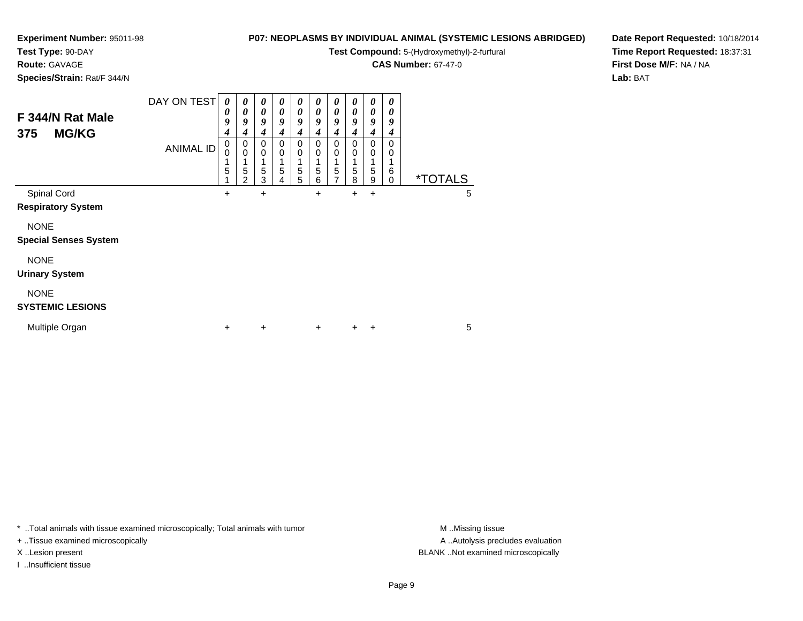# **Test Type:** 90-DAY

**Route:** GAVAGE

**Species/Strain:** Rat/F 344/N

# **P07: NEOPLASMS BY INDIVIDUAL ANIMAL (SYSTEMIC LESIONS ABRIDGED)**

**Test Compound:** 5-(Hydroxymethyl)-2-furfural

**CAS Number:** 67-47-0

**Date Report Requested:** 10/18/2014**Time Report Requested:** 18:37:31**First Dose M/F:** NA / NA**Lab:** BAT

| F 344/N Rat Male<br><b>MG/KG</b><br>375     | DAY ON TEST<br><b>ANIMAL ID</b> | 0<br>0<br>9<br>4<br>0<br>0<br>1<br>5 | 0<br>0<br>9<br>4<br>0<br>$\mathbf 0$<br>1<br>5<br>2 | 0<br>0<br>9<br>4<br>0<br>$\mathbf 0$<br>1<br>5<br>3 | 0<br>0<br>9<br>4<br>$\mathbf 0$<br>0<br>1<br>5<br>4 | 0<br>0<br>9<br>4<br>0<br>0<br>1<br>5<br>5 | 0<br>$\boldsymbol{\theta}$<br>9<br>4<br>0<br>0<br>1<br>5<br>6 | 0<br>0<br>9<br>4<br>0<br>0<br>5<br>7 | $\boldsymbol{\theta}$<br>$\boldsymbol{\theta}$<br>9<br>$\boldsymbol{4}$<br>0<br>0<br>1<br>$\,$ 5 $\,$<br>8 | $\boldsymbol{\theta}$<br>0<br>9<br>4<br>0<br>0<br>1<br>5<br>9 | 0<br>0<br>9<br>4<br>0<br>0<br>1<br>6<br>0 | <i><b>*TOTALS</b></i> |   |
|---------------------------------------------|---------------------------------|--------------------------------------|-----------------------------------------------------|-----------------------------------------------------|-----------------------------------------------------|-------------------------------------------|---------------------------------------------------------------|--------------------------------------|------------------------------------------------------------------------------------------------------------|---------------------------------------------------------------|-------------------------------------------|-----------------------|---|
| Spinal Cord                                 |                                 | $\ddot{}$                            |                                                     | +                                                   |                                                     |                                           | +                                                             |                                      | +                                                                                                          | +                                                             |                                           |                       | 5 |
| <b>Respiratory System</b>                   |                                 |                                      |                                                     |                                                     |                                                     |                                           |                                                               |                                      |                                                                                                            |                                                               |                                           |                       |   |
| <b>NONE</b><br><b>Special Senses System</b> |                                 |                                      |                                                     |                                                     |                                                     |                                           |                                                               |                                      |                                                                                                            |                                                               |                                           |                       |   |
| <b>NONE</b><br><b>Urinary System</b>        |                                 |                                      |                                                     |                                                     |                                                     |                                           |                                                               |                                      |                                                                                                            |                                                               |                                           |                       |   |
| <b>NONE</b><br><b>SYSTEMIC LESIONS</b>      |                                 |                                      |                                                     |                                                     |                                                     |                                           |                                                               |                                      |                                                                                                            |                                                               |                                           |                       |   |
| Multiple Organ                              |                                 | ÷                                    |                                                     | $\ddot{}$                                           |                                                     |                                           | $\ddot{}$                                                     |                                      | ٠                                                                                                          | ٠                                                             |                                           |                       | 5 |

\* ..Total animals with tissue examined microscopically; Total animals with tumor **M** . Missing tissue M ..Missing tissue

+ ..Tissue examined microscopically

I ..Insufficient tissue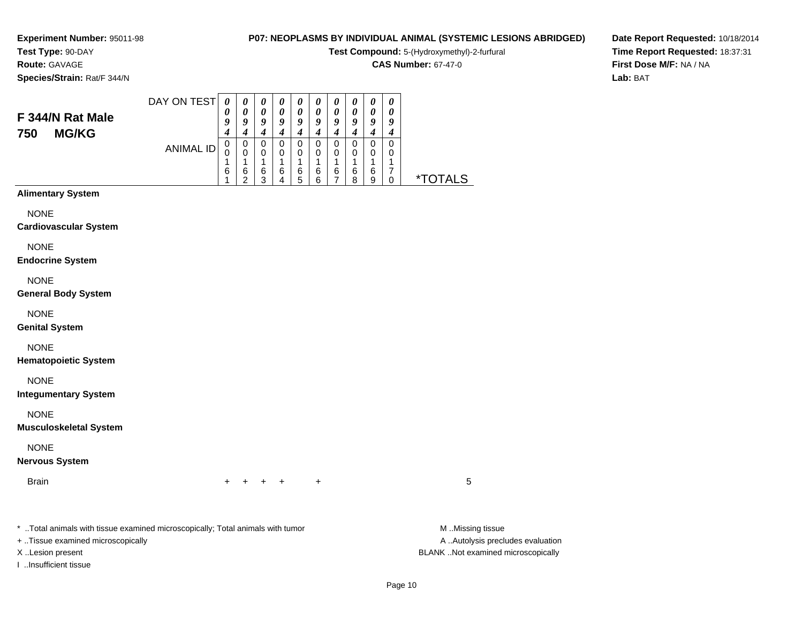#### **Test Type:** 90-DAY**Route:** GAVAGE

**Species/Strain:** Rat/F 344/N

#### **P07: NEOPLASMS BY INDIVIDUAL ANIMAL (SYSTEMIC LESIONS ABRIDGED)**

**Test Compound:** 5-(Hydroxymethyl)-2-furfural

**CAS Number:** 67-47-0

**Date Report Requested:** 10/18/2014**Time Report Requested:** 18:37:31**First Dose M/F:** NA / NA**Lab:** BAT

| F 344/N Rat Male<br><b>MG/KG</b><br>750 | DAY ON TEST | $\boldsymbol{\theta}$<br>υ<br>ч | $\boldsymbol{\theta}$<br>a | $\boldsymbol{\theta}$<br>Q | u           | $\boldsymbol{\theta}$<br>Q |        | U<br>Q      | U      | $\boldsymbol{\theta}$<br>0<br>9 | U<br>$\boldsymbol{\theta}$<br>Q |    |
|-----------------------------------------|-------------|---------------------------------|----------------------------|----------------------------|-------------|----------------------------|--------|-------------|--------|---------------------------------|---------------------------------|----|
|                                         | ANIMAL ID   | υ<br>L.<br>6                    | 0<br>0<br>6<br>◠           | 0<br>0<br>6<br>◠           | U<br>0<br>6 | U<br>0<br>6<br>5           | 6<br>ี | U<br>0<br>6 | 6<br>о | 0<br>0<br>6<br>9                |                                 | ∗¬ |

#### **Alimentary System**

NONE

#### **Cardiovascular System**

NONE

**Endocrine System**

#### NONE

**General Body System**

#### NONE

**Genital System**

#### NONE

**Hematopoietic System**

NONE

**Integumentary System**

#### NONE

**Musculoskeletal System**

#### NONE

**Nervous System**

**Brain** n  $+$ 

<sup>+</sup> <sup>+</sup> <sup>+</sup> <sup>+</sup> <sup>5</sup>

\* ..Total animals with tissue examined microscopically; Total animals with tumor **M** ..Missing tissue M ..Missing tissue

+ ..Tissue examined microscopically

I ..Insufficient tissue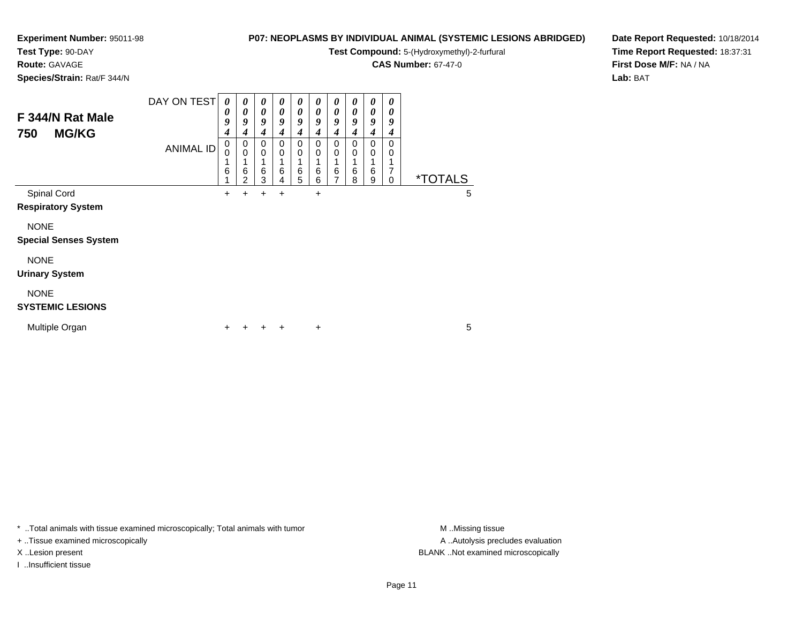**Test Type:** 90-DAY

### **Route:** GAVAGE

**Species/Strain:** Rat/F 344/N

### **P07: NEOPLASMS BY INDIVIDUAL ANIMAL (SYSTEMIC LESIONS ABRIDGED)**

 $\overline{\phantom{a}}$ ┓

**Test Compound:** 5-(Hydroxymethyl)-2-furfural

**CAS Number:** 67-47-0

**Date Report Requested:** 10/18/2014**Time Report Requested:** 18:37:31**First Dose M/F:** NA / NA**Lab:** BAT

| F 344/N Rat Male<br>750<br><b>MG/KG</b>     | DAY ON TEST<br><b>ANIMAL ID</b> | 0<br>0<br>9<br>$\boldsymbol{4}$<br>0<br>0<br>1 | 0<br>0<br>9<br>$\boldsymbol{4}$<br>0<br>$\mathbf 0$ | 0<br>0<br>9<br>4<br>0<br>0<br>1 | 0<br>0<br>9<br>4<br>0<br>0 | 0<br>0<br>9<br>4<br>0<br>0 | 0<br>0<br>9<br>4<br>$\Omega$<br>0 | 0<br>0<br>9<br>4<br>0<br>0 | 0<br>$\boldsymbol{\theta}$<br>9<br>4<br>$\Omega$<br>0 | 0<br>0<br>9<br>4<br>0<br>0<br>1 | 0<br>0<br>9<br>4<br>0<br>0<br>1 |                       |   |
|---------------------------------------------|---------------------------------|------------------------------------------------|-----------------------------------------------------|---------------------------------|----------------------------|----------------------------|-----------------------------------|----------------------------|-------------------------------------------------------|---------------------------------|---------------------------------|-----------------------|---|
|                                             |                                 | 6                                              | 6<br>2                                              | 6<br>3                          | 6<br>4                     | 6<br>5                     | 6<br>6                            | 6<br>$\overline{ }$        | 6<br>8                                                | $\,6$<br>9                      | 7<br>0                          | <i><b>*TOTALS</b></i> |   |
| Spinal Cord<br><b>Respiratory System</b>    |                                 | ٠                                              | +                                                   | +                               | +                          |                            | +                                 |                            |                                                       |                                 |                                 |                       | 5 |
| <b>NONE</b><br><b>Special Senses System</b> |                                 |                                                |                                                     |                                 |                            |                            |                                   |                            |                                                       |                                 |                                 |                       |   |
| <b>NONE</b><br><b>Urinary System</b>        |                                 |                                                |                                                     |                                 |                            |                            |                                   |                            |                                                       |                                 |                                 |                       |   |
| <b>NONE</b><br><b>SYSTEMIC LESIONS</b>      |                                 |                                                |                                                     |                                 |                            |                            |                                   |                            |                                                       |                                 |                                 |                       |   |
| Multiple Organ                              |                                 |                                                |                                                     |                                 | ٠                          |                            | $\ddot{}$                         |                            |                                                       |                                 |                                 |                       | 5 |

┯  $\overline{\phantom{0}}$  $\overline{\phantom{a}}$  $\overline{\phantom{a}}$ 

\* ..Total animals with tissue examined microscopically; Total animals with tumor **M** . Missing tissue M ..Missing tissue

+ ..Tissue examined microscopically

I ..Insufficient tissue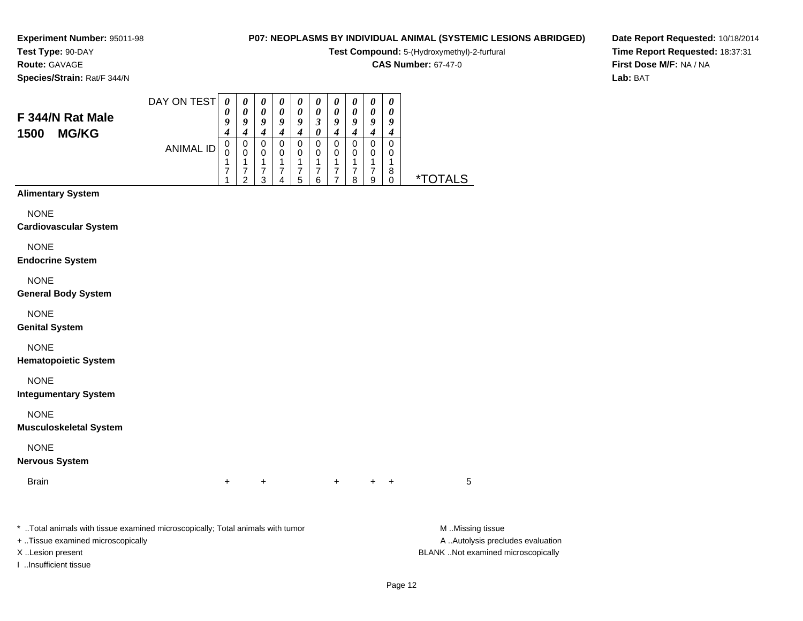# **Test Type:** 90-DAY

**Route:** GAVAGE

**Species/Strain:** Rat/F 344/N

# **P07: NEOPLASMS BY INDIVIDUAL ANIMAL (SYSTEMIC LESIONS ABRIDGED)**

**Test Compound:** 5-(Hydroxymethyl)-2-furfural

**CAS Number:** 67-47-0

**Date Report Requested:** 10/18/2014**Time Report Requested:** 18:37:31**First Dose M/F:** NA / NA**Lab:** BAT

| F 344/N Rat Male<br><b>MG/KG</b><br>1500 | DAY ON TEST | 0<br>o<br>4 | 9 | 9 | o      | o | 2        | o | o      | o | $\boldsymbol{\theta}$<br>Q |   |
|------------------------------------------|-------------|-------------|---|---|--------|---|----------|---|--------|---|----------------------------|---|
|                                          | ANIMAL ID   | 0           | 0 | 0 | U<br>Λ |   | υ<br>ี่ค |   | O<br>8 | a | 0<br>0<br>8                | * |

#### **Alimentary System**

NONE

**Cardiovascular System**

NONE

**Endocrine System**

NONE

**General Body System**

NONE

**Genital System**

NONE

**Hematopoietic System**

NONE

**Integumentary System**

NONE

**Musculoskeletal System**

NONE

**Nervous System**

**Brain** n  $+$ 

<sup>+</sup> <sup>+</sup> <sup>+</sup> <sup>+</sup> <sup>5</sup>

\* ..Total animals with tissue examined microscopically; Total animals with tumor **M** ..Missing tissue M ..Missing tissue

+ ..Tissue examined microscopically

I ..Insufficient tissue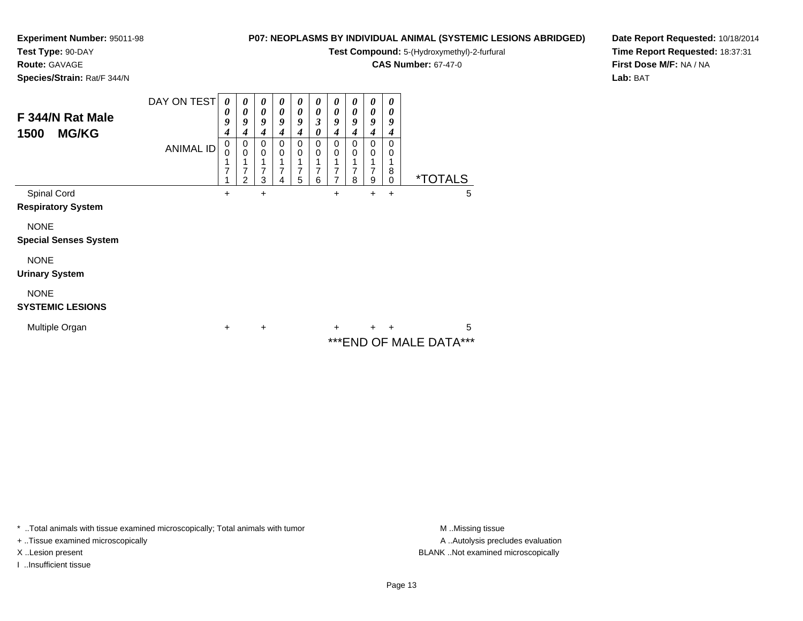#### **Test Type:** 90-DAY**Route:** GAVAGE

**Species/Strain:** Rat/F 344/N

#### **P07: NEOPLASMS BY INDIVIDUAL ANIMAL (SYSTEMIC LESIONS ABRIDGED)**

**Test Compound:** 5-(Hydroxymethyl)-2-furfural

**CAS Number:** 67-47-0

**Date Report Requested:** 10/18/2014**Time Report Requested:** 18:37:31**First Dose M/F:** NA / NA**Lab:** BAT

| F 344/N Rat Male<br><b>MG/KG</b><br>1500    | DAY ON TEST<br><b>ANIMAL ID</b> | 0<br>0<br>9<br>4<br>0<br>0<br>7 | 0<br>0<br>9<br>4<br>0<br>$\mathbf 0$<br>1<br>7<br>2 | 0<br>0<br>9<br>4<br>0<br>0<br>7<br>3 | 0<br>$\boldsymbol{\theta}$<br>9<br>4<br>0<br>0<br>7<br>4 | 0<br>0<br>9<br>4<br>0<br>0<br>7<br>5 | 0<br>0<br>3<br>0<br>0<br>0<br>7<br>6 | 0<br>0<br>9<br>4<br>0<br>0<br>7<br>7 | 0<br>0<br>9<br>4<br>0<br>$\mathbf 0$<br>1<br>7<br>8 | 0<br>0<br>9<br>4<br>0<br>0<br>7<br>9 | 0<br>0<br>9<br>4<br>0<br>0<br>1<br>8<br>0 |                        | <i><b>*TOTALS</b></i> |   |
|---------------------------------------------|---------------------------------|---------------------------------|-----------------------------------------------------|--------------------------------------|----------------------------------------------------------|--------------------------------------|--------------------------------------|--------------------------------------|-----------------------------------------------------|--------------------------------------|-------------------------------------------|------------------------|-----------------------|---|
| Spinal Cord<br><b>Respiratory System</b>    |                                 | +                               |                                                     | $\ddot{}$                            |                                                          |                                      |                                      | $\ddot{}$                            |                                                     | +                                    | $\ddot{}$                                 |                        |                       | 5 |
| <b>NONE</b><br><b>Special Senses System</b> |                                 |                                 |                                                     |                                      |                                                          |                                      |                                      |                                      |                                                     |                                      |                                           |                        |                       |   |
| <b>NONE</b><br><b>Urinary System</b>        |                                 |                                 |                                                     |                                      |                                                          |                                      |                                      |                                      |                                                     |                                      |                                           |                        |                       |   |
| <b>NONE</b><br><b>SYSTEMIC LESIONS</b>      |                                 |                                 |                                                     |                                      |                                                          |                                      |                                      |                                      |                                                     |                                      |                                           |                        |                       |   |
| Multiple Organ                              |                                 | $\ddot{}$                       |                                                     | $\ddot{}$                            |                                                          |                                      |                                      | $\ddot{}$                            |                                                     | $+$                                  | $+$                                       | ***END OF MALE DATA*** |                       | 5 |

\* ..Total animals with tissue examined microscopically; Total animals with tumor **M** . Missing tissue M ..Missing tissue

+ ..Tissue examined microscopically

I ..Insufficient tissue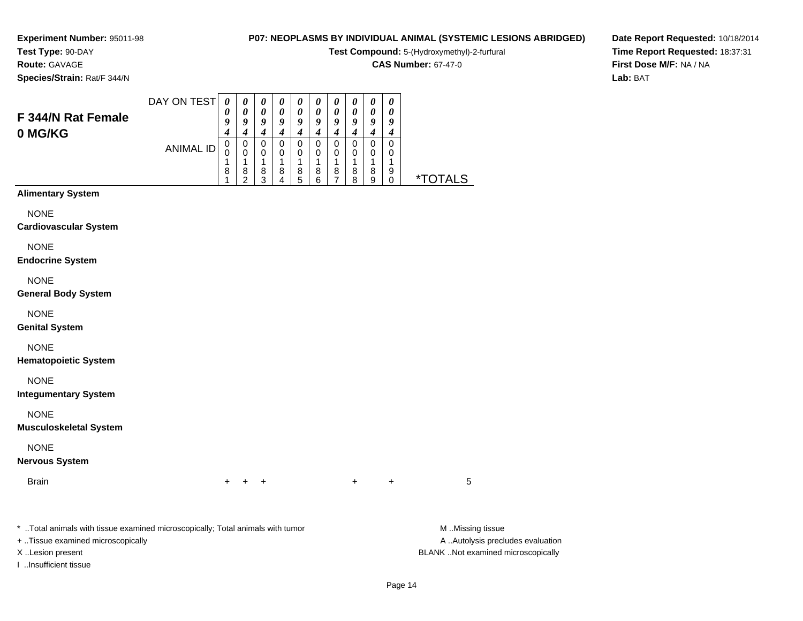#### **Test Type:** 90-DAY**Route:** GAVAGE

**Species/Strain:** Rat/F 344/N

# **P07: NEOPLASMS BY INDIVIDUAL ANIMAL (SYSTEMIC LESIONS ABRIDGED)**

**Test Compound:** 5-(Hydroxymethyl)-2-furfural

**CAS Number:** 67-47-0

**Date Report Requested:** 10/18/2014**Time Report Requested:** 18:37:31**First Dose M/F:** NA / NA**Lab:** BAT

|                                              | DAY ON TEST      | $\boldsymbol{\theta}$                             | 0                                                                             | $\boldsymbol{\theta}$                                             | $\boldsymbol{\theta}$                               | $\pmb{\theta}$                                                    | $\boldsymbol{\theta}$                                                    | $\boldsymbol{\theta}$                                                      | $\pmb{\theta}$                                                      | $\pmb{\theta}$                                      | $\pmb{\theta}$                                                |                |  |
|----------------------------------------------|------------------|---------------------------------------------------|-------------------------------------------------------------------------------|-------------------------------------------------------------------|-----------------------------------------------------|-------------------------------------------------------------------|--------------------------------------------------------------------------|----------------------------------------------------------------------------|---------------------------------------------------------------------|-----------------------------------------------------|---------------------------------------------------------------|----------------|--|
| <b>F 344/N Rat Female</b>                    |                  | 0<br>9                                            | $\boldsymbol{\theta}$<br>9                                                    | $\pmb{\theta}$<br>$\boldsymbol{g}$                                | $\pmb{\theta}$<br>9                                 | $\boldsymbol{\theta}$<br>9                                        | $\boldsymbol{\theta}$<br>9                                               | $\boldsymbol{\theta}$<br>$\boldsymbol{g}$                                  | $\pmb{\theta}$<br>9                                                 | $\pmb{\theta}$<br>9                                 | $\boldsymbol{\theta}$<br>9                                    |                |  |
| 0 MG/KG                                      | <b>ANIMAL ID</b> | $\boldsymbol{4}$<br>$\pmb{0}$<br>0<br>1<br>8<br>1 | $\boldsymbol{4}$<br>$\pmb{0}$<br>$\mathbf 0$<br>1<br>$\bf8$<br>$\overline{2}$ | $\boldsymbol{4}$<br>$\pmb{0}$<br>$\mathbf 0$<br>1<br>$\bf 8$<br>3 | $\boldsymbol{4}$<br>$\mathbf 0$<br>0<br>1<br>8<br>4 | $\boldsymbol{4}$<br>$\pmb{0}$<br>$\mathbf 0$<br>1<br>$\bf 8$<br>5 | $\boldsymbol{4}$<br>$\mathbf 0$<br>$\mathbf 0$<br>$\mathbf{1}$<br>8<br>6 | $\boldsymbol{4}$<br>$\mathbf 0$<br>$\mathbf 0$<br>1<br>8<br>$\overline{7}$ | $\boldsymbol{4}$<br>$\mathbf 0$<br>$\mathbf 0$<br>1<br>$\bf 8$<br>8 | $\boldsymbol{4}$<br>0<br>$\mathbf 0$<br>1<br>8<br>9 | $\boldsymbol{4}$<br>$\mathbf 0$<br>0<br>1<br>9<br>$\mathbf 0$ | <u>*TOTALS</u> |  |
| <b>Alimentary System</b>                     |                  |                                                   |                                                                               |                                                                   |                                                     |                                                                   |                                                                          |                                                                            |                                                                     |                                                     |                                                               |                |  |
| <b>NONE</b><br><b>Cardiovascular System</b>  |                  |                                                   |                                                                               |                                                                   |                                                     |                                                                   |                                                                          |                                                                            |                                                                     |                                                     |                                                               |                |  |
| <b>NONE</b><br><b>Endocrine System</b>       |                  |                                                   |                                                                               |                                                                   |                                                     |                                                                   |                                                                          |                                                                            |                                                                     |                                                     |                                                               |                |  |
| <b>NONE</b><br><b>General Body System</b>    |                  |                                                   |                                                                               |                                                                   |                                                     |                                                                   |                                                                          |                                                                            |                                                                     |                                                     |                                                               |                |  |
| <b>NONE</b><br><b>Genital System</b>         |                  |                                                   |                                                                               |                                                                   |                                                     |                                                                   |                                                                          |                                                                            |                                                                     |                                                     |                                                               |                |  |
| <b>NONE</b><br><b>Hematopoietic System</b>   |                  |                                                   |                                                                               |                                                                   |                                                     |                                                                   |                                                                          |                                                                            |                                                                     |                                                     |                                                               |                |  |
| <b>NONE</b><br><b>Integumentary System</b>   |                  |                                                   |                                                                               |                                                                   |                                                     |                                                                   |                                                                          |                                                                            |                                                                     |                                                     |                                                               |                |  |
| <b>NONE</b><br><b>Musculoskeletal System</b> |                  |                                                   |                                                                               |                                                                   |                                                     |                                                                   |                                                                          |                                                                            |                                                                     |                                                     |                                                               |                |  |
| <b>NONE</b><br><b>Nervous System</b>         |                  |                                                   |                                                                               |                                                                   |                                                     |                                                                   |                                                                          |                                                                            |                                                                     |                                                     |                                                               |                |  |
| <b>Brain</b>                                 |                  |                                                   |                                                                               | +                                                                 |                                                     |                                                                   |                                                                          |                                                                            | $\ddot{}$                                                           |                                                     | +                                                             | 5              |  |

\* ..Total animals with tissue examined microscopically; Total animals with tumor **M** . Missing tissue M ..Missing tissue A ..Autolysis precludes evaluation + ..Tissue examined microscopically X ..Lesion present BLANK ..Not examined microscopicallyI ..Insufficient tissue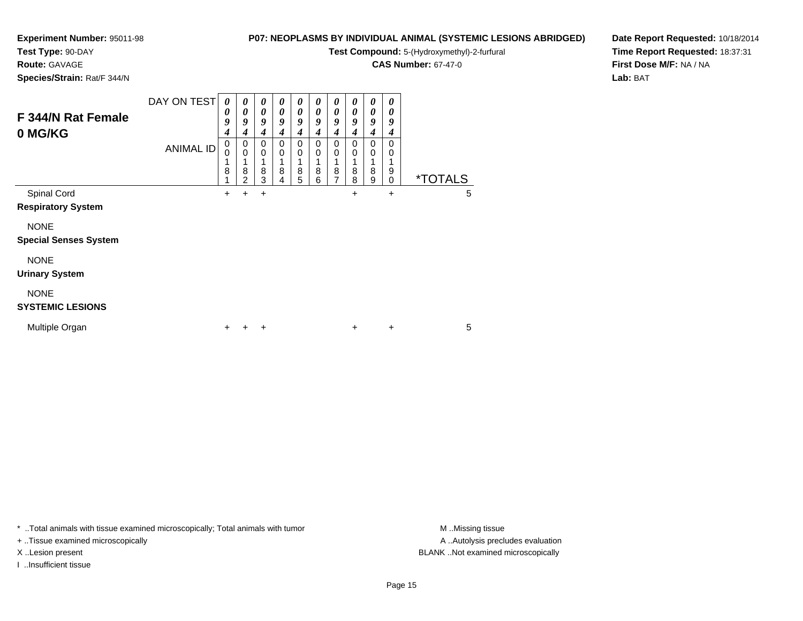**Test Type:** 90-DAY

**Route:** GAVAGE

**Species/Strain:** Rat/F 344/N

# **P07: NEOPLASMS BY INDIVIDUAL ANIMAL (SYSTEMIC LESIONS ABRIDGED)**

**Test Compound:** 5-(Hydroxymethyl)-2-furfural

**CAS Number:** 67-47-0

**Date Report Requested:** 10/18/2014**Time Report Requested:** 18:37:31**First Dose M/F:** NA / NA**Lab:** BAT

| F 344/N Rat Female<br>0 MG/KG                                                           | DAY ON TEST<br><b>ANIMAL ID</b> | 0<br>0<br>9<br>4<br>$\pmb{0}$<br>0<br>1<br>8 | 0<br>0<br>9<br>4<br>0<br>0<br>8 | 0<br>0<br>9<br>4<br>0<br>$\mathbf 0$<br>8 | 0<br>0<br>9<br>4<br>$\Omega$<br>0<br>8 | 0<br>$\boldsymbol{\theta}$<br>$\boldsymbol{g}$<br>4<br>$\Omega$<br>0<br>8 | 0<br>0<br>9<br>4<br>$\Omega$<br>0<br>1<br>8 | 0<br>0<br>9<br>4<br>0<br>0<br>8 | 0<br>0<br>9<br>4<br>0<br>0<br>8 | 0<br>0<br>9<br>4<br>0<br>0<br>1<br>8 | 0<br>0<br>9<br>4<br>0<br>0<br>1<br>9 |                            |
|-----------------------------------------------------------------------------------------|---------------------------------|----------------------------------------------|---------------------------------|-------------------------------------------|----------------------------------------|---------------------------------------------------------------------------|---------------------------------------------|---------------------------------|---------------------------------|--------------------------------------|--------------------------------------|----------------------------|
| Spinal Cord<br><b>Respiratory System</b><br><b>NONE</b><br><b>Special Senses System</b> |                                 | 4<br>$\pm$                                   | $\overline{2}$<br>٠             | 3<br>$\ddot{}$                            | 4                                      | 5                                                                         | 6                                           | $\overline{7}$                  | 8<br>+                          | 9                                    | $\mathbf 0$<br>$\ddot{}$             | <i><b>*TOTALS</b></i><br>5 |
| <b>NONE</b><br><b>Urinary System</b><br><b>NONE</b><br><b>SYSTEMIC LESIONS</b>          |                                 |                                              |                                 |                                           |                                        |                                                                           |                                             |                                 |                                 |                                      |                                      |                            |
| Multiple Organ                                                                          |                                 | ÷                                            |                                 | ÷                                         |                                        |                                                                           |                                             |                                 | $\ddot{}$                       |                                      | $\ddot{}$                            | 5                          |

\* ..Total animals with tissue examined microscopically; Total animals with tumor **M** . Missing tissue M ..Missing tissue

+ ..Tissue examined microscopically

I ..Insufficient tissue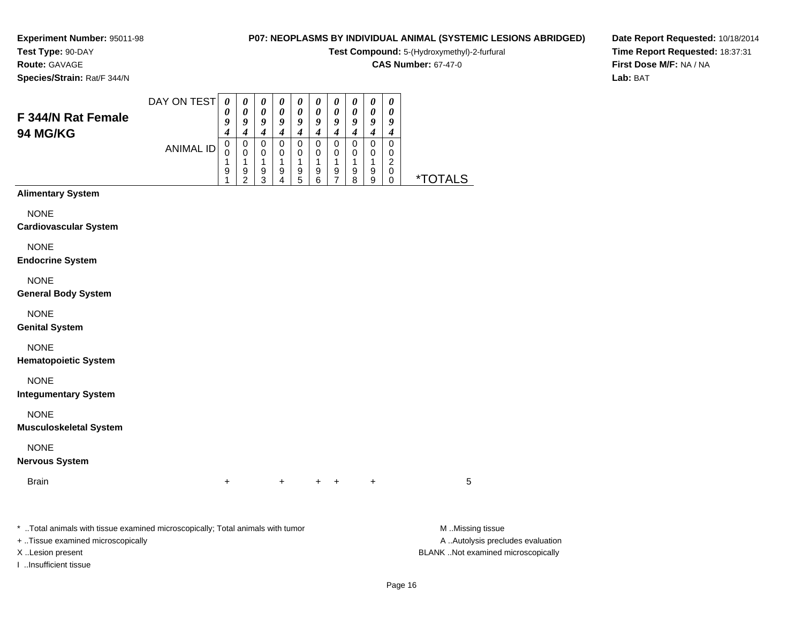# **Test Type:** 90-DAY

**Route:** GAVAGE

**Species/Strain:** Rat/F 344/N

# **P07: NEOPLASMS BY INDIVIDUAL ANIMAL (SYSTEMIC LESIONS ABRIDGED)**

**Test Compound:** 5-(Hydroxymethyl)-2-furfural

**CAS Number:** 67-47-0

**Date Report Requested:** 10/18/2014**Time Report Requested:** 18:37:31**First Dose M/F:** NA / NA**Lab:** BAT

|                                                                                | DAY ON TEST      | $\boldsymbol{\theta}$                | $\boldsymbol{\theta}$                                            | $\boldsymbol{\theta}$                             | $\pmb{\theta}$                                    | $\boldsymbol{\theta}$                                                              | $\boldsymbol{\theta}$                                       | 0                                                                | $\boldsymbol{\theta}$                                                                      | $\pmb{\theta}$                                            | 0                                                                      |                       |
|--------------------------------------------------------------------------------|------------------|--------------------------------------|------------------------------------------------------------------|---------------------------------------------------|---------------------------------------------------|------------------------------------------------------------------------------------|-------------------------------------------------------------|------------------------------------------------------------------|--------------------------------------------------------------------------------------------|-----------------------------------------------------------|------------------------------------------------------------------------|-----------------------|
| F 344/N Rat Female                                                             |                  | 0<br>9                               | $\pmb{\theta}$<br>9                                              | $\pmb{\theta}$<br>9                               | 0<br>9                                            | 0<br>9                                                                             | $\pmb{\theta}$<br>$\boldsymbol{g}$                          | $\pmb{\theta}$<br>9                                              | $\boldsymbol{\theta}$<br>9                                                                 | $\pmb{\theta}$<br>9                                       | 0<br>9                                                                 |                       |
| 94 MG/KG                                                                       | <b>ANIMAL ID</b> | 4<br>$\mathbf 0$<br>0<br>1<br>9<br>1 | $\boldsymbol{4}$<br>$\pmb{0}$<br>$\pmb{0}$<br>1<br>$\frac{9}{2}$ | $\boldsymbol{4}$<br>$\pmb{0}$<br>0<br>1<br>9<br>3 | $\boldsymbol{4}$<br>$\pmb{0}$<br>0<br>1<br>9<br>4 | $\boldsymbol{4}$<br>$\mathbf 0$<br>0<br>1<br>$\begin{array}{c} 9 \\ 5 \end{array}$ | $\boldsymbol{4}$<br>$\pmb{0}$<br>$\mathbf 0$<br>1<br>9<br>6 | $\boldsymbol{4}$<br>$\pmb{0}$<br>$\pmb{0}$<br>1<br>$\frac{9}{7}$ | $\boldsymbol{4}$<br>$\pmb{0}$<br>$\mathbf 0$<br>1<br>$\begin{array}{c} 9 \\ 8 \end{array}$ | $\boldsymbol{4}$<br>$\pmb{0}$<br>$\pmb{0}$<br>1<br>9<br>9 | $\boldsymbol{4}$<br>$\mathbf 0$<br>0<br>$\overline{c}$<br>$\,0\,$<br>0 | <i><b>*TOTALS</b></i> |
| <b>Alimentary System</b>                                                       |                  |                                      |                                                                  |                                                   |                                                   |                                                                                    |                                                             |                                                                  |                                                                                            |                                                           |                                                                        |                       |
| <b>NONE</b><br><b>Cardiovascular System</b>                                    |                  |                                      |                                                                  |                                                   |                                                   |                                                                                    |                                                             |                                                                  |                                                                                            |                                                           |                                                                        |                       |
| <b>NONE</b><br><b>Endocrine System</b>                                         |                  |                                      |                                                                  |                                                   |                                                   |                                                                                    |                                                             |                                                                  |                                                                                            |                                                           |                                                                        |                       |
| <b>NONE</b><br><b>General Body System</b>                                      |                  |                                      |                                                                  |                                                   |                                                   |                                                                                    |                                                             |                                                                  |                                                                                            |                                                           |                                                                        |                       |
| <b>NONE</b><br><b>Genital System</b>                                           |                  |                                      |                                                                  |                                                   |                                                   |                                                                                    |                                                             |                                                                  |                                                                                            |                                                           |                                                                        |                       |
| <b>NONE</b><br><b>Hematopoietic System</b>                                     |                  |                                      |                                                                  |                                                   |                                                   |                                                                                    |                                                             |                                                                  |                                                                                            |                                                           |                                                                        |                       |
| <b>NONE</b><br><b>Integumentary System</b>                                     |                  |                                      |                                                                  |                                                   |                                                   |                                                                                    |                                                             |                                                                  |                                                                                            |                                                           |                                                                        |                       |
| <b>NONE</b><br><b>Musculoskeletal System</b>                                   |                  |                                      |                                                                  |                                                   |                                                   |                                                                                    |                                                             |                                                                  |                                                                                            |                                                           |                                                                        |                       |
| <b>NONE</b><br><b>Nervous System</b>                                           |                  |                                      |                                                                  |                                                   |                                                   |                                                                                    |                                                             |                                                                  |                                                                                            |                                                           |                                                                        |                       |
| <b>Brain</b>                                                                   |                  | $\ddot{}$                            |                                                                  |                                                   | $\ddot{}$                                         |                                                                                    | $\ddot{}$                                                   | $\ddot{}$                                                        |                                                                                            | $\ddot{}$                                                 |                                                                        | 5                     |
| * Total animals with tissue examined microscopically; Total animals with tumor |                  |                                      |                                                                  |                                                   |                                                   |                                                                                    |                                                             |                                                                  |                                                                                            |                                                           |                                                                        | M Missing tissue      |

+ ..Tissue examined microscopically

I ..Insufficient tissue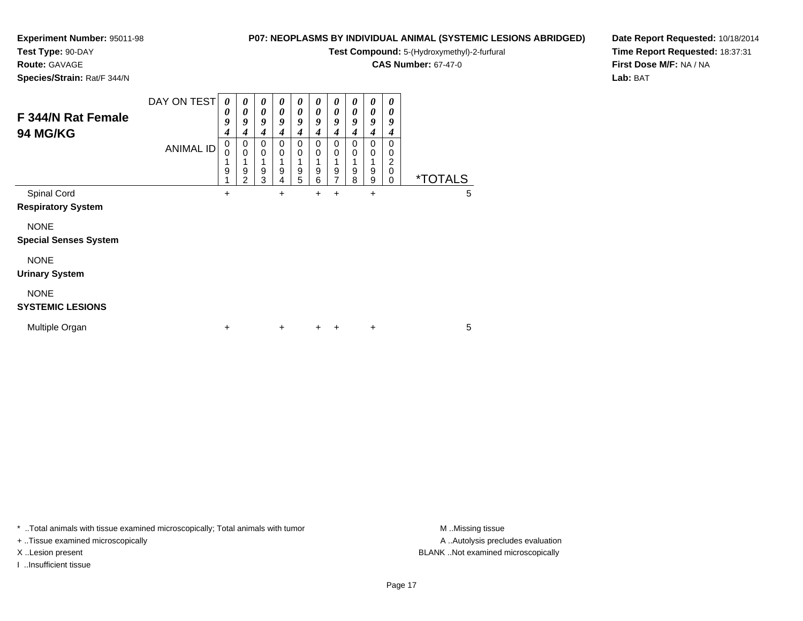# **Test Type:** 90-DAY

**Route:** GAVAGE

**Species/Strain:** Rat/F 344/N

# **P07: NEOPLASMS BY INDIVIDUAL ANIMAL (SYSTEMIC LESIONS ABRIDGED)**

**Test Compound:** 5-(Hydroxymethyl)-2-furfural

**CAS Number:** 67-47-0

**Date Report Requested:** 10/18/2014**Time Report Requested:** 18:37:31**First Dose M/F:** NA / NA**Lab:** BAT

| F 344/N Rat Female<br><b>94 MG/KG</b>       | DAY ON TEST<br><b>ANIMAL ID</b> | 0<br>U<br>9<br>4<br>0<br>$\mathbf 0$<br>1<br>9 | $\boldsymbol{\theta}$<br>0<br>$\boldsymbol{g}$<br>4<br>0<br>$\mathbf 0$<br>9<br>$\overline{2}$ | 0<br>0<br>9<br>4<br>0<br>$\mathbf 0$<br>9<br>3 | 0<br>$\boldsymbol{\theta}$<br>9<br>$\boldsymbol{4}$<br>0<br>$\mathbf 0$<br>1<br>$\boldsymbol{9}$<br>4 | 0<br>0<br>9<br>4<br>0<br>$\mathbf 0$<br>9<br>5 | $\boldsymbol{\theta}$<br>0<br>9<br>4<br>0<br>$\mathbf 0$<br>9<br>6 | $\boldsymbol{\theta}$<br>0<br>9<br>4<br>0<br>$\mathbf 0$<br>9<br>7 | $\boldsymbol{\theta}$<br>0<br>9<br>4<br>0<br>0<br>1<br>$\boldsymbol{9}$<br>8 | 0<br>0<br>9<br>4<br>0<br>0<br>9<br>9 | 0<br>0<br>9<br>4<br>0<br>0<br>2<br>0<br>0 | <i><b>*TOTALS</b></i> |   |
|---------------------------------------------|---------------------------------|------------------------------------------------|------------------------------------------------------------------------------------------------|------------------------------------------------|-------------------------------------------------------------------------------------------------------|------------------------------------------------|--------------------------------------------------------------------|--------------------------------------------------------------------|------------------------------------------------------------------------------|--------------------------------------|-------------------------------------------|-----------------------|---|
| Spinal Cord<br><b>Respiratory System</b>    |                                 | $\ddot{}$                                      |                                                                                                |                                                | $\ddot{}$                                                                                             |                                                | +                                                                  | +                                                                  |                                                                              | +                                    |                                           |                       | 5 |
| <b>NONE</b><br><b>Special Senses System</b> |                                 |                                                |                                                                                                |                                                |                                                                                                       |                                                |                                                                    |                                                                    |                                                                              |                                      |                                           |                       |   |
| <b>NONE</b><br><b>Urinary System</b>        |                                 |                                                |                                                                                                |                                                |                                                                                                       |                                                |                                                                    |                                                                    |                                                                              |                                      |                                           |                       |   |
| <b>NONE</b><br><b>SYSTEMIC LESIONS</b>      |                                 |                                                |                                                                                                |                                                |                                                                                                       |                                                |                                                                    |                                                                    |                                                                              |                                      |                                           |                       |   |
| Multiple Organ                              |                                 | $\ddot{}$                                      |                                                                                                |                                                | $\ddot{}$                                                                                             |                                                | $\ddot{}$                                                          | +                                                                  |                                                                              | +                                    |                                           |                       | 5 |

\* ..Total animals with tissue examined microscopically; Total animals with tumor **M** . Missing tissue M ..Missing tissue

+ ..Tissue examined microscopically

I ..Insufficient tissue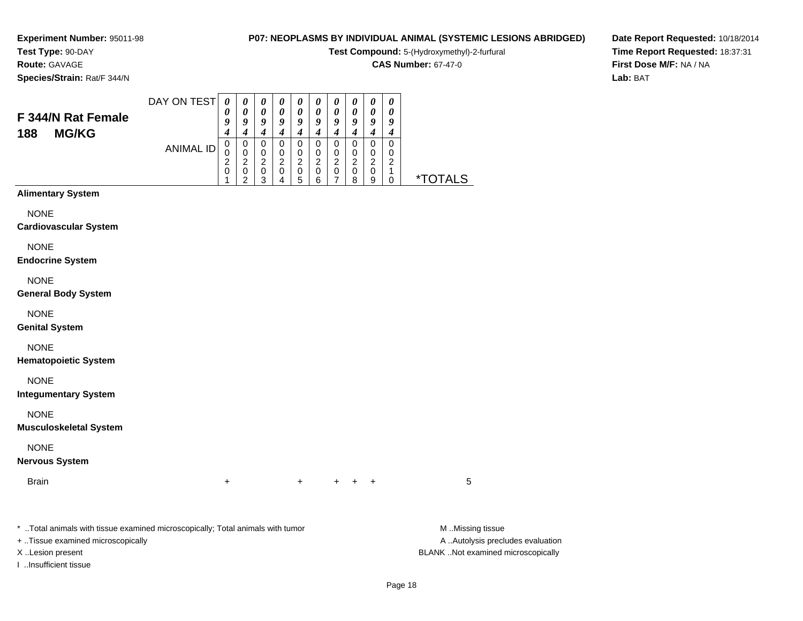#### **Test Type:** 90-DAY**Route:** GAVAGE

**Species/Strain:** Rat/F 344/N

## **P07: NEOPLASMS BY INDIVIDUAL ANIMAL (SYSTEMIC LESIONS ABRIDGED)**

**Test Compound:** 5-(Hydroxymethyl)-2-furfural

**CAS Number:** 67-47-0

**Date Report Requested:** 10/18/2014**Time Report Requested:** 18:37:31**First Dose M/F:** NA / NA**Lab:** BAT

| F 344/N Rat Female                           | DAY ON TEST      | 0<br>0                                    | 0<br>$\boldsymbol{\theta}$                    | 0<br>$\boldsymbol{\theta}$         | 0<br>$\boldsymbol{\theta}$   | 0<br>$\boldsymbol{\theta}$         | 0<br>$\pmb{\theta}$              | 0<br>$\boldsymbol{\theta}$                      | 0<br>0                               | 0<br>$\boldsymbol{\theta}$           | 0<br>$\boldsymbol{\theta}$            |                       |
|----------------------------------------------|------------------|-------------------------------------------|-----------------------------------------------|------------------------------------|------------------------------|------------------------------------|----------------------------------|-------------------------------------------------|--------------------------------------|--------------------------------------|---------------------------------------|-----------------------|
| <b>MG/KG</b><br>188                          |                  | 9<br>$\boldsymbol{4}$                     | 9<br>$\boldsymbol{4}$                         | 9<br>$\boldsymbol{4}$              | 9<br>$\boldsymbol{4}$        | 9<br>$\boldsymbol{4}$              | 9<br>$\boldsymbol{4}$            | 9<br>$\boldsymbol{4}$                           | 9<br>$\boldsymbol{4}$                | $\boldsymbol{9}$<br>$\boldsymbol{4}$ | 9<br>$\boldsymbol{4}$                 |                       |
|                                              | <b>ANIMAL ID</b> | $\pmb{0}$<br>$\mathbf 0$                  | $\pmb{0}$<br>$\mathbf 0$                      | $\pmb{0}$<br>$\pmb{0}$             | $\pmb{0}$<br>$\pmb{0}$       | $\pmb{0}$<br>$\pmb{0}$             | $\pmb{0}$<br>0                   | $\pmb{0}$<br>$\mathbf 0$                        | $\pmb{0}$<br>$\pmb{0}$               | $\pmb{0}$<br>$\pmb{0}$               | $\mathbf 0$<br>0                      |                       |
|                                              |                  | $\overline{\mathbf{c}}$<br>$\pmb{0}$<br>1 | $\overline{c}$<br>$\pmb{0}$<br>$\overline{2}$ | $\boldsymbol{2}$<br>$\pmb{0}$<br>3 | $\sqrt{2}$<br>$\pmb{0}$<br>4 | $\boldsymbol{2}$<br>$\pmb{0}$<br>5 | $\overline{c}$<br>$\pmb{0}$<br>6 | $\boldsymbol{2}$<br>$\pmb{0}$<br>$\overline{7}$ | $\boldsymbol{2}$<br>$\mathbf 0$<br>8 | $\overline{2}$<br>$\pmb{0}$<br>9     | $\boldsymbol{2}$<br>$\mathbf{1}$<br>0 | <i><b>*TOTALS</b></i> |
| <b>Alimentary System</b>                     |                  |                                           |                                               |                                    |                              |                                    |                                  |                                                 |                                      |                                      |                                       |                       |
| <b>NONE</b><br><b>Cardiovascular System</b>  |                  |                                           |                                               |                                    |                              |                                    |                                  |                                                 |                                      |                                      |                                       |                       |
| <b>NONE</b><br><b>Endocrine System</b>       |                  |                                           |                                               |                                    |                              |                                    |                                  |                                                 |                                      |                                      |                                       |                       |
| <b>NONE</b><br><b>General Body System</b>    |                  |                                           |                                               |                                    |                              |                                    |                                  |                                                 |                                      |                                      |                                       |                       |
|                                              |                  |                                           |                                               |                                    |                              |                                    |                                  |                                                 |                                      |                                      |                                       |                       |
| <b>NONE</b><br><b>Genital System</b>         |                  |                                           |                                               |                                    |                              |                                    |                                  |                                                 |                                      |                                      |                                       |                       |
| <b>NONE</b><br><b>Hematopoietic System</b>   |                  |                                           |                                               |                                    |                              |                                    |                                  |                                                 |                                      |                                      |                                       |                       |
| <b>NONE</b><br><b>Integumentary System</b>   |                  |                                           |                                               |                                    |                              |                                    |                                  |                                                 |                                      |                                      |                                       |                       |
| <b>NONE</b><br><b>Musculoskeletal System</b> |                  |                                           |                                               |                                    |                              |                                    |                                  |                                                 |                                      |                                      |                                       |                       |
| <b>NONE</b>                                  |                  |                                           |                                               |                                    |                              |                                    |                                  |                                                 |                                      |                                      |                                       |                       |
| <b>Nervous System</b>                        |                  |                                           |                                               |                                    |                              |                                    |                                  |                                                 |                                      |                                      |                                       |                       |
| <b>Brain</b>                                 |                  | $\ddot{}$                                 |                                               |                                    |                              | $\ddot{}$                          |                                  | $\pm$                                           | $\pm$                                | $\ddot{}$                            |                                       | 5                     |
|                                              |                  |                                           |                                               |                                    |                              |                                    |                                  |                                                 |                                      |                                      |                                       |                       |

\* ..Total animals with tissue examined microscopically; Total animals with tumor **M** . Missing tissue M ..Missing tissue

+ ..Tissue examined microscopically

I ..Insufficient tissue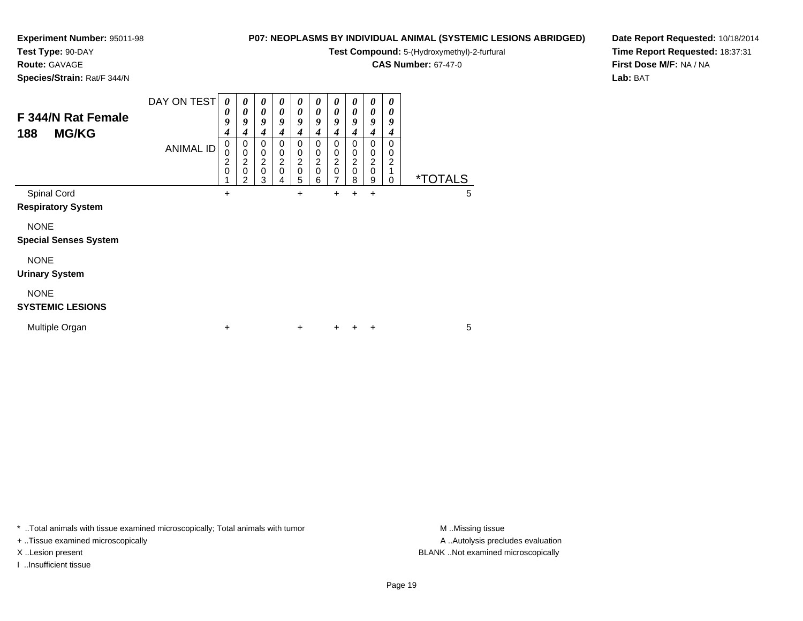## **Test Type:** 90-DAY

**Route:** GAVAGE

**Species/Strain:** Rat/F 344/N

# **P07: NEOPLASMS BY INDIVIDUAL ANIMAL (SYSTEMIC LESIONS ABRIDGED)**

**Test Compound:** 5-(Hydroxymethyl)-2-furfural

**CAS Number:** 67-47-0

**Date Report Requested:** 10/18/2014**Time Report Requested:** 18:37:31**First Dose M/F:** NA / NA**Lab:** BAT

| F 344/N Rat Female<br>188<br><b>MG/KG</b>   | DAY ON TEST      | 0<br>0<br>9<br>4 | $\boldsymbol{\theta}$<br>$\boldsymbol{\theta}$<br>9<br>4            | $\boldsymbol{\theta}$<br>0<br>9<br>4 | 0<br>0<br>9<br>4                             | 0<br>0<br>9<br>4             | 0<br>0<br>9<br>4             | 0<br>0<br>9<br>4      | 0<br>0<br>9<br>4                     | 0<br>0<br>9<br>4                       | 0<br>0<br>9<br>4             |                       |   |  |
|---------------------------------------------|------------------|------------------|---------------------------------------------------------------------|--------------------------------------|----------------------------------------------|------------------------------|------------------------------|-----------------------|--------------------------------------|----------------------------------------|------------------------------|-----------------------|---|--|
|                                             | <b>ANIMAL ID</b> | 0<br>0<br>2<br>0 | 0<br>$\mathbf 0$<br>$\overline{c}$<br>$\mathbf 0$<br>$\overline{2}$ | 0<br>0<br>2<br>$\mathbf 0$<br>3      | 0<br>0<br>$\overline{c}$<br>$\mathbf 0$<br>4 | 0<br>0<br>2<br>$\Omega$<br>5 | 0<br>0<br>$\frac{2}{0}$<br>6 | 0<br>0<br>2<br>0<br>7 | 0<br>$\pmb{0}$<br>$\frac{2}{0}$<br>8 | $\Omega$<br>0<br>2<br>$\mathbf 0$<br>9 | $\Omega$<br>0<br>2<br>1<br>0 | <i><b>*TOTALS</b></i> |   |  |
| Spinal Cord<br><b>Respiratory System</b>    |                  | +                |                                                                     |                                      |                                              | +                            |                              | $\pm$                 | +                                    | +                                      |                              |                       | 5 |  |
| <b>NONE</b><br><b>Special Senses System</b> |                  |                  |                                                                     |                                      |                                              |                              |                              |                       |                                      |                                        |                              |                       |   |  |
| <b>NONE</b><br><b>Urinary System</b>        |                  |                  |                                                                     |                                      |                                              |                              |                              |                       |                                      |                                        |                              |                       |   |  |
| <b>NONE</b><br><b>SYSTEMIC LESIONS</b>      |                  |                  |                                                                     |                                      |                                              |                              |                              |                       |                                      |                                        |                              |                       |   |  |
| Multiple Organ                              |                  | +                |                                                                     |                                      |                                              | $\pm$                        |                              | ÷                     |                                      | ÷                                      |                              |                       | 5 |  |

\* ..Total animals with tissue examined microscopically; Total animals with tumor **M** . Missing tissue M ..Missing tissue

+ ..Tissue examined microscopically

I ..Insufficient tissue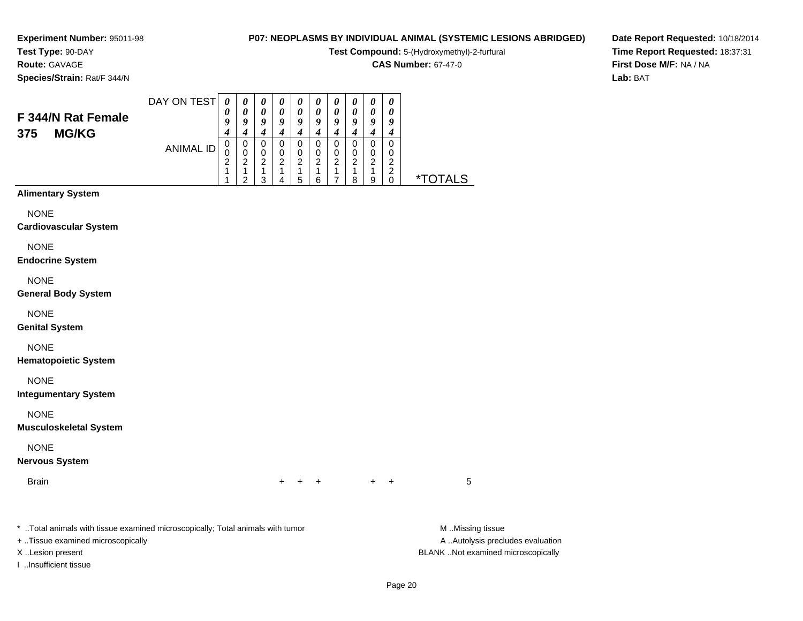#### **Test Type:** 90-DAY**Route:** GAVAGE

**Species/Strain:** Rat/F 344/N

### **P07: NEOPLASMS BY INDIVIDUAL ANIMAL (SYSTEMIC LESIONS ABRIDGED)**

**Test Compound:** 5-(Hydroxymethyl)-2-furfural

**CAS Number:** 67-47-0

**Date Report Requested:** 10/18/2014**Time Report Requested:** 18:37:31**First Dose M/F:** NA / NA**Lab:** BAT

| F 344/N Rat Female<br><b>MG/KG</b><br>375 | DAY ON TEST | U<br>Y<br>4 | $\boldsymbol{\theta}$<br>0<br>9<br>4 | $\boldsymbol{\theta}$<br>$\boldsymbol{\theta}$<br>9<br>4 | $\boldsymbol{\theta}$<br>$\boldsymbol{\theta}$<br>9 | $\boldsymbol{\theta}$<br>$\boldsymbol{\theta}$<br>о | $\boldsymbol{\theta}$<br>$\boldsymbol{\theta}$<br>9 | $\boldsymbol{\theta}$<br>$\boldsymbol{\theta}$<br>9<br>4 | $\boldsymbol{\theta}$<br>$\boldsymbol{\theta}$<br>9 | $\boldsymbol{\theta}$<br>$\boldsymbol{\theta}$<br>о | $\boldsymbol{\theta}$<br>$\boldsymbol{\theta}$<br>9<br>4 |                    |
|-------------------------------------------|-------------|-------------|--------------------------------------|----------------------------------------------------------|-----------------------------------------------------|-----------------------------------------------------|-----------------------------------------------------|----------------------------------------------------------|-----------------------------------------------------|-----------------------------------------------------|----------------------------------------------------------|--------------------|
|                                           | ANIMAL ID   | U<br>◠      | 0<br>າ<br>ົ                          | U<br>ົ<br>◠                                              | າ                                                   | ົ<br>5                                              | າ<br>6                                              | າ                                                        | ົ<br>8                                              | 0<br>ົ<br>a                                         | 0<br>ົ<br>ົ                                              | <b>OTALS</b><br>∗⊤ |

#### **Alimentary System**

NONE

#### **Cardiovascular System**

NONE

#### **Endocrine System**

NONE

#### **General Body System**

NONE

#### **Genital System**

NONE

#### **Hematopoietic System**

NONE

#### **Integumentary System**

NONE

#### **Musculoskeletal System**

NONE

#### **Nervous System**

Brain

n  $+$ <sup>+</sup> <sup>+</sup> <sup>+</sup> <sup>+</sup> <sup>5</sup>

\* ..Total animals with tissue examined microscopically; Total animals with tumor **M** ..Missing tissue M ..Missing tissue

+ ..Tissue examined microscopically

I ..Insufficient tissue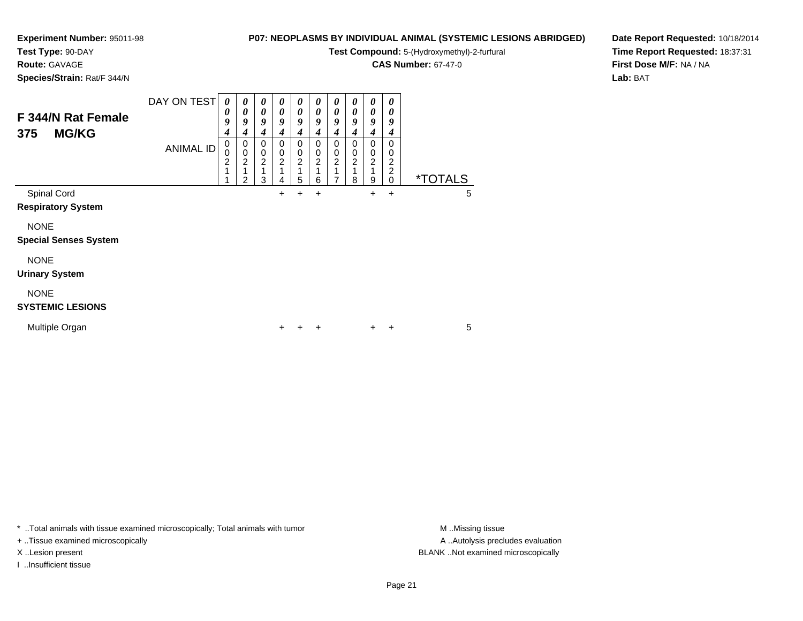#### **Test Type:** 90-DAY

**Route:** GAVAGE

**Species/Strain:** Rat/F 344/N

# **P07: NEOPLASMS BY INDIVIDUAL ANIMAL (SYSTEMIC LESIONS ABRIDGED)**

**Test Compound:** 5-(Hydroxymethyl)-2-furfural

**CAS Number:** 67-47-0

**Date Report Requested:** 10/18/2014**Time Report Requested:** 18:37:31**First Dose M/F:** NA / NA**Lab:** BAT

| F 344/N Rat Female<br><b>MG/KG</b><br>375   | DAY ON TEST      | 0<br>0<br>9<br>4         | $\boldsymbol{\theta}$<br>0<br>9<br>4                 | 0<br>$\boldsymbol{\theta}$<br>9<br>4 | $\boldsymbol{\theta}$<br>$\boldsymbol{\theta}$<br>9<br>4 | 0<br>0<br>9<br>4              | 0<br>0<br>9<br>4              | 0<br>0<br>9<br>4              | 0<br>0<br>9<br>4                       | 0<br>0<br>9<br>4                       | 0<br>0<br>9<br>4             |                       |   |
|---------------------------------------------|------------------|--------------------------|------------------------------------------------------|--------------------------------------|----------------------------------------------------------|-------------------------------|-------------------------------|-------------------------------|----------------------------------------|----------------------------------------|------------------------------|-----------------------|---|
|                                             | <b>ANIMAL ID</b> | 0<br>0<br>$\overline{c}$ | 0<br>$\mathbf 0$<br>$\overline{c}$<br>$\overline{2}$ | 0<br>0<br>$\overline{c}$<br>3        | 0<br>0<br>$\overline{c}$<br>4                            | 0<br>0<br>$\overline{c}$<br>5 | 0<br>0<br>$\overline{c}$<br>6 | 0<br>0<br>$\overline{c}$<br>7 | 0<br>0<br>$\overline{\mathbf{c}}$<br>8 | 0<br>0<br>$\overline{\mathbf{c}}$<br>9 | 0<br>0<br>2<br>2<br>$\Omega$ | <i><b>*TOTALS</b></i> |   |
| Spinal Cord<br><b>Respiratory System</b>    |                  |                          |                                                      |                                      | +                                                        |                               | +                             |                               |                                        | $\pm$                                  | $\ddot{}$                    |                       | 5 |
| <b>NONE</b><br><b>Special Senses System</b> |                  |                          |                                                      |                                      |                                                          |                               |                               |                               |                                        |                                        |                              |                       |   |
| <b>NONE</b><br><b>Urinary System</b>        |                  |                          |                                                      |                                      |                                                          |                               |                               |                               |                                        |                                        |                              |                       |   |
| <b>NONE</b><br><b>SYSTEMIC LESIONS</b>      |                  |                          |                                                      |                                      |                                                          |                               |                               |                               |                                        |                                        |                              |                       |   |
| Multiple Organ                              |                  |                          |                                                      |                                      | $\pm$                                                    |                               | +                             |                               |                                        | $\pm$                                  | +                            |                       | 5 |

\* ..Total animals with tissue examined microscopically; Total animals with tumor **M** . Missing tissue M ..Missing tissue

+ ..Tissue examined microscopically

I ..Insufficient tissue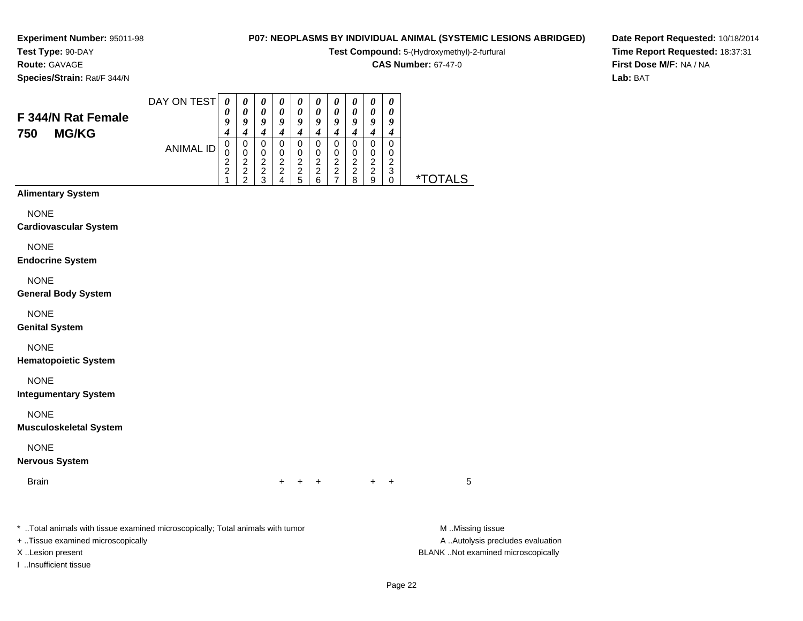#### **Test Type:** 90-DAY**Route:** GAVAGE

**Species/Strain:** Rat/F 344/N

#### **P07: NEOPLASMS BY INDIVIDUAL ANIMAL (SYSTEMIC LESIONS ABRIDGED)**

**Test Compound:** 5-(Hydroxymethyl)-2-furfural

**CAS Number:** 67-47-0

**Date Report Requested:** 10/18/2014**Time Report Requested:** 18:37:31**First Dose M/F:** NA / NA**Lab:** BAT

| F 344/N Rat Female<br><b>MG/KG</b><br>750 | DAY ON TEST | 0<br>$\boldsymbol{0}$ | $\boldsymbol{\theta}$<br>0 | U<br>0 | U<br>o | U<br>9           | U<br>0<br>9 | U<br>9      | o                     | o           | o                     |                 |
|-------------------------------------------|-------------|-----------------------|----------------------------|--------|--------|------------------|-------------|-------------|-----------------------|-------------|-----------------------|-----------------|
|                                           | ANIMAL ID   | ◠<br>ົ                | ົ<br>າ<br>∠                | ົ      | ົ<br>2 | ⌒<br>⌒<br>∼<br>5 | ົ<br>2<br>6 | ົ<br>ົ<br>∸ | 0<br>ົ<br>າ<br>∠<br>8 | ົ<br>ົ<br>я | 0<br>U<br>◠<br>3<br>υ | <b>ALS</b><br>× |
| Alimantary Cyclam                         |             |                       |                            |        |        |                  |             |             |                       |             |                       |                 |

# **Alimentary System**

NONE

#### **Cardiovascular System**

NONE

**Endocrine System**

#### NONE

**General Body System**

#### NONE

**Genital System**

#### NONE

**Hematopoietic System**

#### NONE

**Integumentary System**

#### NONE

**Musculoskeletal System**

#### NONE

#### **Nervous System**

Brain

n  $+$ <sup>+</sup> <sup>+</sup> <sup>+</sup> <sup>+</sup> <sup>5</sup>

\* ..Total animals with tissue examined microscopically; Total animals with tumor **M** ..Missing tissue M ..Missing tissue

+ ..Tissue examined microscopically

I ..Insufficient tissue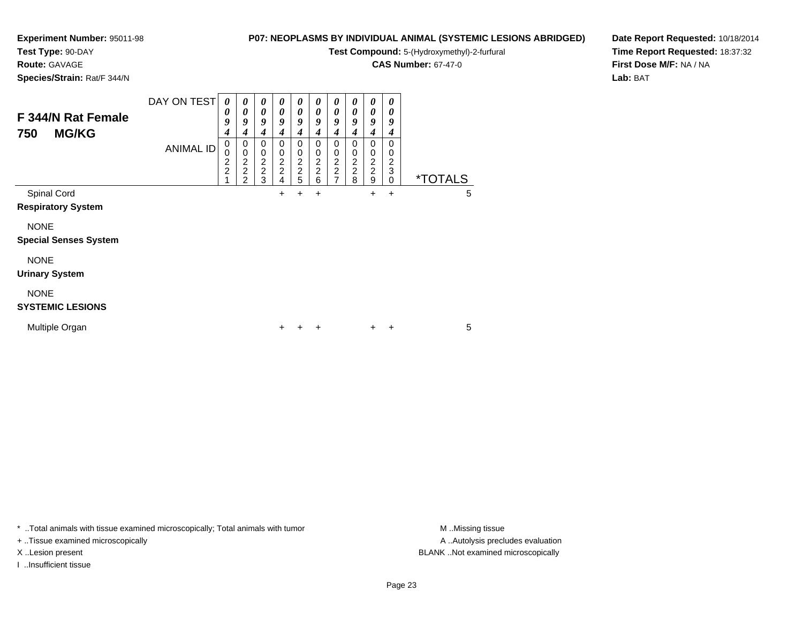#### **Test Type:** 90-DAY

**Route:** GAVAGE

**Species/Strain:** Rat/F 344/N

# **P07: NEOPLASMS BY INDIVIDUAL ANIMAL (SYSTEMIC LESIONS ABRIDGED)**

**Test Compound:** 5-(Hydroxymethyl)-2-furfural

**CAS Number:** 67-47-0

**Date Report Requested:** 10/18/2014**Time Report Requested:** 18:37:32**First Dose M/F:** NA / NA**Lab:** BAT

| F 344/N Rat Female<br><b>MG/KG</b><br>750   | DAY ON TEST<br><b>ANIMAL ID</b> | 0<br>0<br>9<br>4<br>0<br>0<br>$\overline{c}$<br>$\overline{c}$ | 0<br>0<br>9<br>4<br>0<br>$\pmb{0}$<br>$\frac{2}{2}$ | 0<br>0<br>9<br>4<br>0<br>0<br>$\frac{2}{2}$<br>3 | 0<br>0<br>9<br>4<br>0<br>0<br>2<br>2<br>4 | 0<br>0<br>9<br>4<br>0<br>0<br>$\overline{\mathbf{c}}$<br>$\frac{2}{5}$ | 0<br>0<br>9<br>4<br>0<br>0<br>$\begin{array}{c} 2 \\ 2 \\ 6 \end{array}$ | 0<br>0<br>9<br>4<br>0<br>0<br>2<br>$\frac{2}{7}$ | 0<br>0<br>9<br>4<br>0<br>0<br>$\frac{2}{2}$<br>8 | 0<br>0<br>9<br>4<br>0<br>0<br>$\overline{2}$<br>$\overline{c}$<br>9 | 0<br>0<br>9<br>4<br>0<br>0<br>$\overline{c}$<br>$\ensuremath{\mathsf{3}}$<br>0 | <i><b>*TOTALS</b></i> |   |
|---------------------------------------------|---------------------------------|----------------------------------------------------------------|-----------------------------------------------------|--------------------------------------------------|-------------------------------------------|------------------------------------------------------------------------|--------------------------------------------------------------------------|--------------------------------------------------|--------------------------------------------------|---------------------------------------------------------------------|--------------------------------------------------------------------------------|-----------------------|---|
| Spinal Cord<br><b>Respiratory System</b>    |                                 |                                                                |                                                     |                                                  | +                                         | +                                                                      | +                                                                        |                                                  |                                                  | $\ddot{}$                                                           | $\ddot{}$                                                                      |                       | 5 |
| <b>NONE</b><br><b>Special Senses System</b> |                                 |                                                                |                                                     |                                                  |                                           |                                                                        |                                                                          |                                                  |                                                  |                                                                     |                                                                                |                       |   |
| <b>NONE</b><br><b>Urinary System</b>        |                                 |                                                                |                                                     |                                                  |                                           |                                                                        |                                                                          |                                                  |                                                  |                                                                     |                                                                                |                       |   |
| <b>NONE</b><br><b>SYSTEMIC LESIONS</b>      |                                 |                                                                |                                                     |                                                  |                                           |                                                                        |                                                                          |                                                  |                                                  |                                                                     |                                                                                |                       |   |
| Multiple Organ                              |                                 |                                                                |                                                     |                                                  | +                                         |                                                                        | +                                                                        |                                                  |                                                  | $\ddot{}$                                                           | +                                                                              |                       | 5 |

\* ..Total animals with tissue examined microscopically; Total animals with tumor **M** . Missing tissue M ..Missing tissue

+ ..Tissue examined microscopically

I ..Insufficient tissue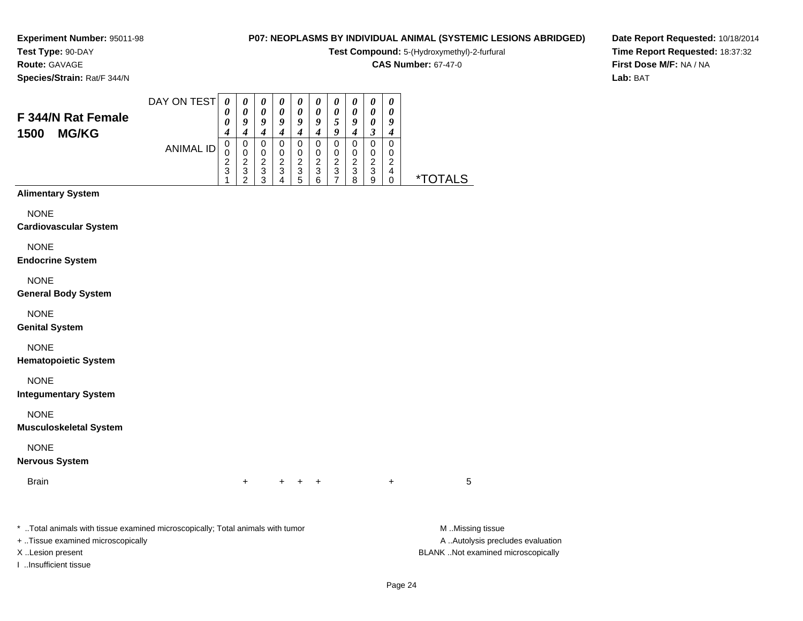# **Test Type:** 90-DAY

**Route:** GAVAGE

**Species/Strain:** Rat/F 344/N

# **P07: NEOPLASMS BY INDIVIDUAL ANIMAL (SYSTEMIC LESIONS ABRIDGED)**

**Test Compound:** 5-(Hydroxymethyl)-2-furfural

**CAS Number:** 67-47-0

**Date Report Requested:** 10/18/2014**Time Report Requested:** 18:37:32**First Dose M/F:** NA / NA**Lab:** BAT

| F 344/N Rat Female<br>1500<br><b>MG/KG</b> | DAY ON TEST<br><b>ANIMAL ID</b> | $\boldsymbol{\theta}$<br>0<br>0<br>4<br>0<br>0<br>$\overline{\mathbf{c}}$<br>3 | 0<br>0<br>9<br>$\boldsymbol{4}$<br>0<br>$\begin{smallmatrix} 0 \\ 2 \end{smallmatrix}$<br>$\ensuremath{\mathsf{3}}$<br>$\overline{2}$ | 0<br>$\boldsymbol{\theta}$<br>9<br>$\boldsymbol{4}$<br>0<br>$\frac{0}{2}$<br>3 | 0<br>0<br>9<br>$\boldsymbol{4}$<br>0<br>0<br>$\frac{2}{3}$<br>4 | 0<br>0<br>9<br>4<br>0<br>$\boldsymbol{0}$<br>$\frac{2}{3}$<br>5 | 0<br>0<br>9<br>$\boldsymbol{4}$<br>0<br>$\pmb{0}$<br>$\frac{2}{3}$<br>6 | 0<br>0<br>5<br>9<br>0<br>$\pmb{0}$<br>$\frac{2}{3}$<br>$\overline{7}$ | 0<br>$\boldsymbol{\theta}$<br>9<br>$\boldsymbol{4}$<br>0<br>0<br>$\frac{2}{3}$<br>8 | 0<br>0<br>0<br>3<br>0<br>$\pmb{0}$<br>$\frac{2}{3}$<br>9 | 0<br>0<br>9<br>4<br>0<br>0<br>$\overline{c}$<br>4<br>$\pmb{0}$ | <i><b>*TOTALS</b></i> |
|--------------------------------------------|---------------------------------|--------------------------------------------------------------------------------|---------------------------------------------------------------------------------------------------------------------------------------|--------------------------------------------------------------------------------|-----------------------------------------------------------------|-----------------------------------------------------------------|-------------------------------------------------------------------------|-----------------------------------------------------------------------|-------------------------------------------------------------------------------------|----------------------------------------------------------|----------------------------------------------------------------|-----------------------|
| <b>Alimentary System</b>                   |                                 |                                                                                |                                                                                                                                       |                                                                                |                                                                 |                                                                 |                                                                         |                                                                       |                                                                                     |                                                          |                                                                |                       |
| <b>NONE</b>                                |                                 |                                                                                |                                                                                                                                       |                                                                                |                                                                 |                                                                 |                                                                         |                                                                       |                                                                                     |                                                          |                                                                |                       |
| <b>Cardiovascular System</b>               |                                 |                                                                                |                                                                                                                                       |                                                                                |                                                                 |                                                                 |                                                                         |                                                                       |                                                                                     |                                                          |                                                                |                       |
| <b>NONE</b>                                |                                 |                                                                                |                                                                                                                                       |                                                                                |                                                                 |                                                                 |                                                                         |                                                                       |                                                                                     |                                                          |                                                                |                       |
| <b>Endocrine System</b>                    |                                 |                                                                                |                                                                                                                                       |                                                                                |                                                                 |                                                                 |                                                                         |                                                                       |                                                                                     |                                                          |                                                                |                       |
| <b>NONE</b>                                |                                 |                                                                                |                                                                                                                                       |                                                                                |                                                                 |                                                                 |                                                                         |                                                                       |                                                                                     |                                                          |                                                                |                       |
| <b>General Body System</b>                 |                                 |                                                                                |                                                                                                                                       |                                                                                |                                                                 |                                                                 |                                                                         |                                                                       |                                                                                     |                                                          |                                                                |                       |
| <b>NONE</b><br><b>Genital System</b>       |                                 |                                                                                |                                                                                                                                       |                                                                                |                                                                 |                                                                 |                                                                         |                                                                       |                                                                                     |                                                          |                                                                |                       |
| <b>NONE</b>                                |                                 |                                                                                |                                                                                                                                       |                                                                                |                                                                 |                                                                 |                                                                         |                                                                       |                                                                                     |                                                          |                                                                |                       |
| <b>Hematopoietic System</b>                |                                 |                                                                                |                                                                                                                                       |                                                                                |                                                                 |                                                                 |                                                                         |                                                                       |                                                                                     |                                                          |                                                                |                       |
| <b>NONE</b><br><b>Integumentary System</b> |                                 |                                                                                |                                                                                                                                       |                                                                                |                                                                 |                                                                 |                                                                         |                                                                       |                                                                                     |                                                          |                                                                |                       |

NONE

**Musculoskeletal System**

NONE

#### **Nervous System**

Brainn  $+$ 

\* ..Total animals with tissue examined microscopically; Total animals with tumor **M** ...Missing tissue M ...Missing tissue

+ ..Tissue examined microscopically

I ..Insufficient tissue

A .. Autolysis precludes evaluation X ..Lesion present BLANK ..Not examined microscopically

<sup>+</sup> <sup>+</sup> <sup>+</sup> <sup>+</sup> <sup>5</sup>